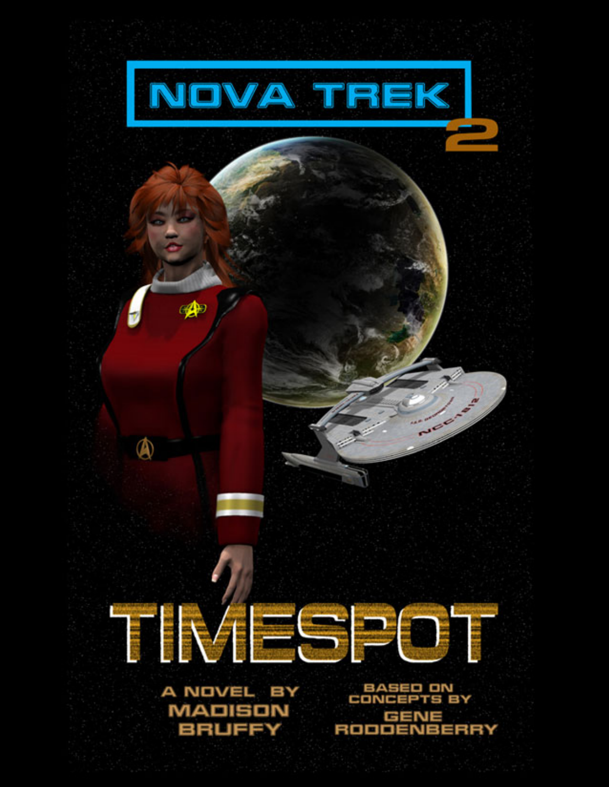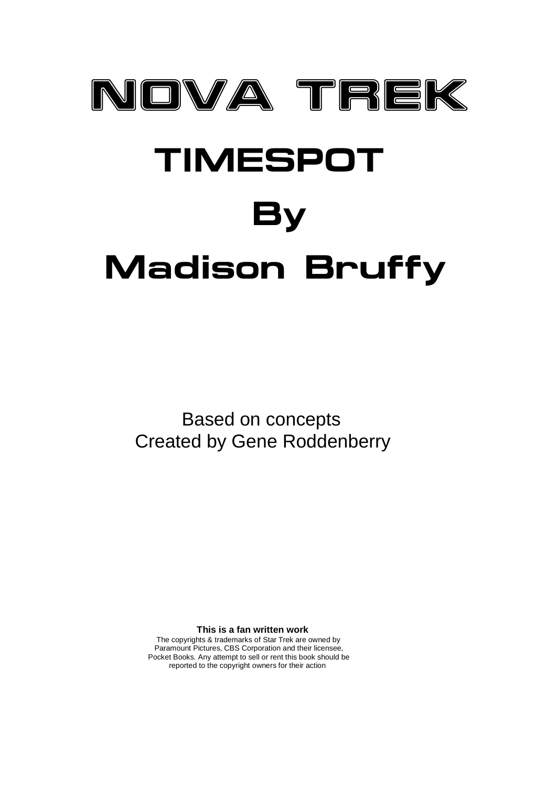

 Based on concepts Created by Gene Roddenberry

 **This is a fan written work**

 The copyrights & trademarks of Star Trek are owned by Paramount Pictures, CBS Corporation and their licensee, Pocket Books. Any attempt to sell or rent this book should be reported to the copyright owners for their action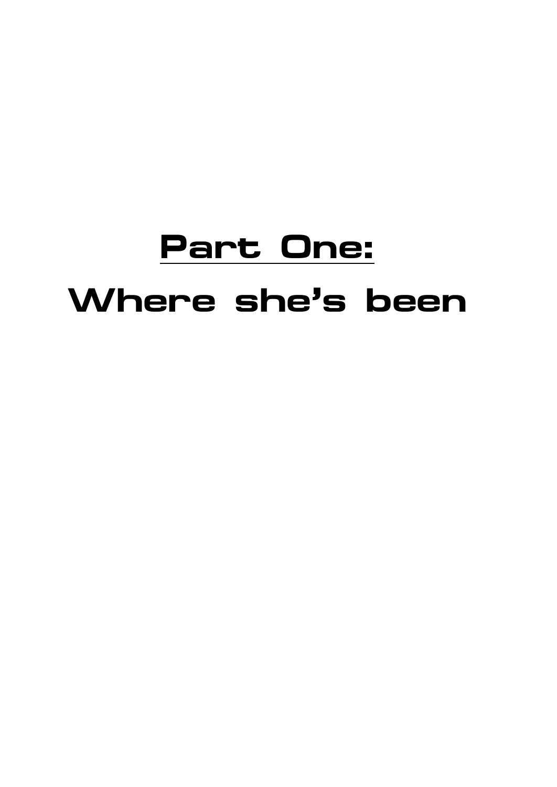## **Part One: Where she's been**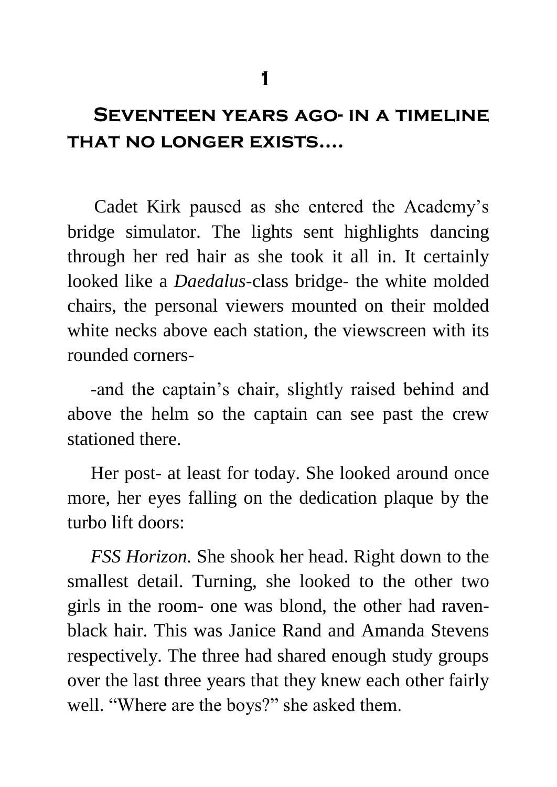### **Seventeen years ago- in a timeline that no longer exists….**

 Cadet Kirk paused as she entered the Academy's bridge simulator. The lights sent highlights dancing through her red hair as she took it all in. It certainly looked like a *Daedalus-*class bridge- the white molded chairs, the personal viewers mounted on their molded white necks above each station, the viewscreen with its rounded corners-

 -and the captain's chair, slightly raised behind and above the helm so the captain can see past the crew stationed there.

 Her post- at least for today. She looked around once more, her eyes falling on the dedication plaque by the turbo lift doors:

 *FSS Horizon.* She shook her head. Right down to the smallest detail. Turning, she looked to the other two girls in the room- one was blond, the other had ravenblack hair. This was Janice Rand and Amanda Stevens respectively. The three had shared enough study groups over the last three years that they knew each other fairly well. "Where are the boys?" she asked them.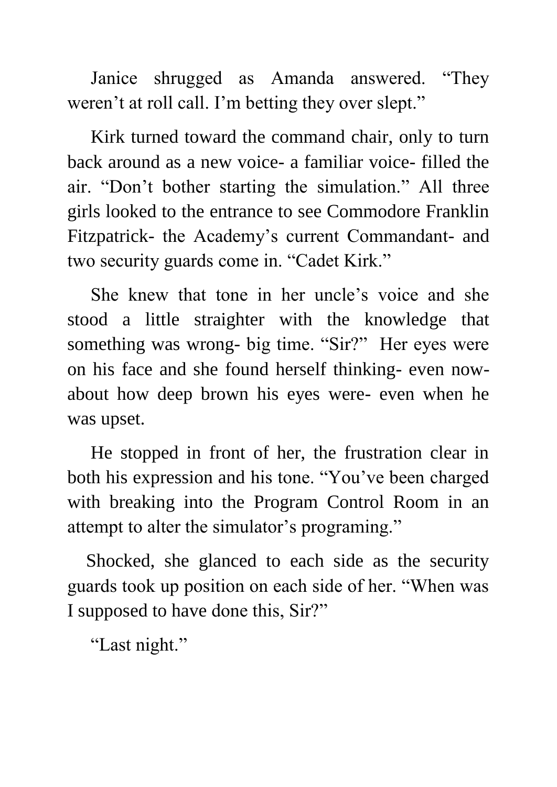Janice shrugged as Amanda answered. "They weren't at roll call. I'm betting they over slept."

 Kirk turned toward the command chair, only to turn back around as a new voice- a familiar voice- filled the air. "Don't bother starting the simulation." All three girls looked to the entrance to see Commodore Franklin Fitzpatrick- the Academy's current Commandant- and two security guards come in. "Cadet Kirk."

 She knew that tone in her uncle's voice and she stood a little straighter with the knowledge that something was wrong- big time. "Sir?" Her eyes were on his face and she found herself thinking- even nowabout how deep brown his eyes were- even when he was upset.

 He stopped in front of her, the frustration clear in both his expression and his tone. "You've been charged with breaking into the Program Control Room in an attempt to alter the simulator's programing."

 Shocked, she glanced to each side as the security guards took up position on each side of her. "When was I supposed to have done this, Sir?"

"Last night."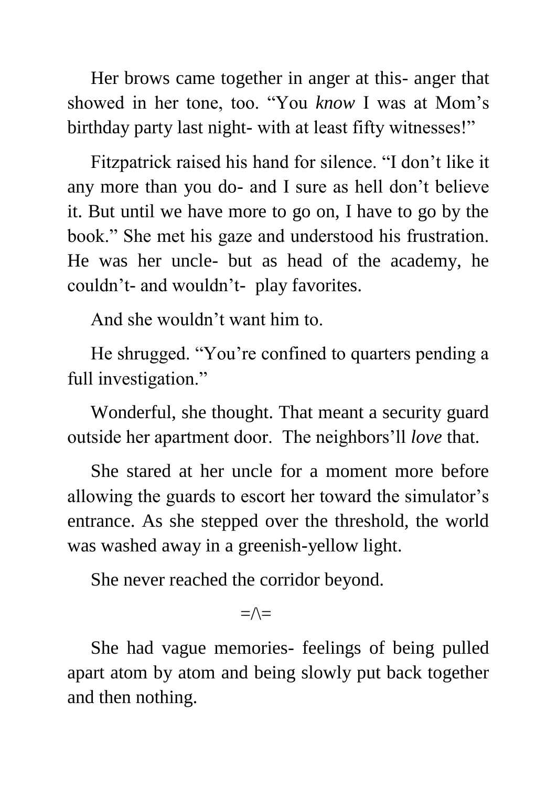Her brows came together in anger at this- anger that showed in her tone, too. "You *know* I was at Mom's birthday party last night- with at least fifty witnesses!"

 Fitzpatrick raised his hand for silence. "I don't like it any more than you do- and I sure as hell don't believe it. But until we have more to go on, I have to go by the book." She met his gaze and understood his frustration. He was her uncle- but as head of the academy, he couldn't- and wouldn't- play favorites.

And she wouldn't want him to.

 He shrugged. "You're confined to quarters pending a full investigation."

 Wonderful, she thought. That meant a security guard outside her apartment door. The neighbors'll *love* that.

 She stared at her uncle for a moment more before allowing the guards to escort her toward the simulator's entrance. As she stepped over the threshold, the world was washed away in a greenish-yellow light.

She never reached the corridor beyond.

### $=\wedge=$

 She had vague memories- feelings of being pulled apart atom by atom and being slowly put back together and then nothing.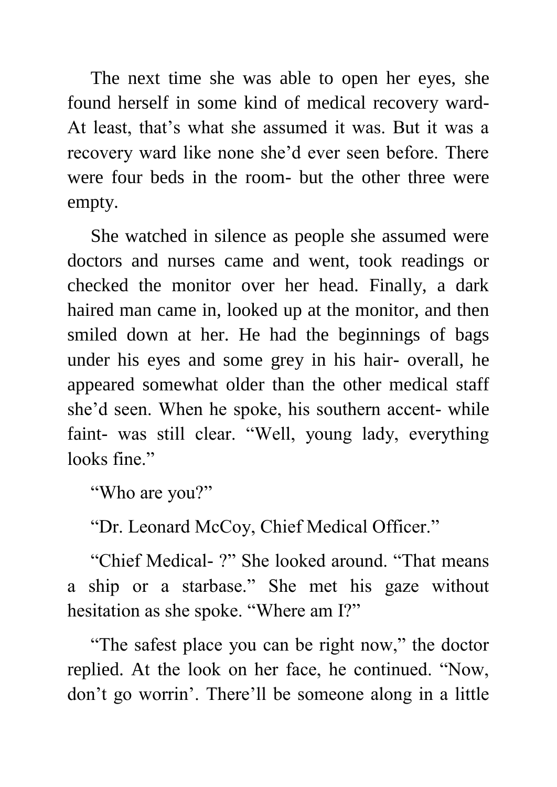The next time she was able to open her eyes, she found herself in some kind of medical recovery ward-At least, that's what she assumed it was. But it was a recovery ward like none she'd ever seen before. There were four beds in the room- but the other three were empty.

 She watched in silence as people she assumed were doctors and nurses came and went, took readings or checked the monitor over her head. Finally, a dark haired man came in, looked up at the monitor, and then smiled down at her. He had the beginnings of bags under his eyes and some grey in his hair- overall, he appeared somewhat older than the other medical staff she'd seen. When he spoke, his southern accent- while faint- was still clear. "Well, young lady, everything looks fine."

"Who are you?"

"Dr. Leonard McCoy, Chief Medical Officer."

 "Chief Medical- ?" She looked around. "That means a ship or a starbase." She met his gaze without hesitation as she spoke. "Where am I?"

 "The safest place you can be right now," the doctor replied. At the look on her face, he continued. "Now, don't go worrin'. There'll be someone along in a little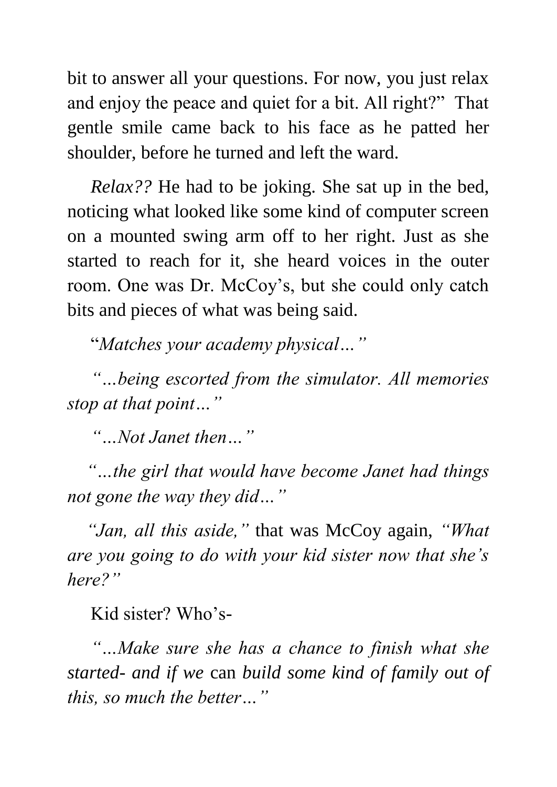bit to answer all your questions. For now, you just relax and enjoy the peace and quiet for a bit. All right?" That gentle smile came back to his face as he patted her shoulder, before he turned and left the ward.

 *Relax??* He had to be joking. She sat up in the bed, noticing what looked like some kind of computer screen on a mounted swing arm off to her right. Just as she started to reach for it, she heard voices in the outer room. One was Dr. McCoy's, but she could only catch bits and pieces of what was being said.

"*Matches your academy physical…"*

 *"…being escorted from the simulator. All memories stop at that point…"*

 *"…Not Janet then…"*

 *"…the girl that would have become Janet had things not gone the way they did…"*

 *"Jan, all this aside,"* that was McCoy again, *"What are you going to do with your kid sister now that she's here?"*

Kid sister? Who's-

 *"…Make sure she has a chance to finish what she started- and if we* can *build some kind of family out of this, so much the better…"*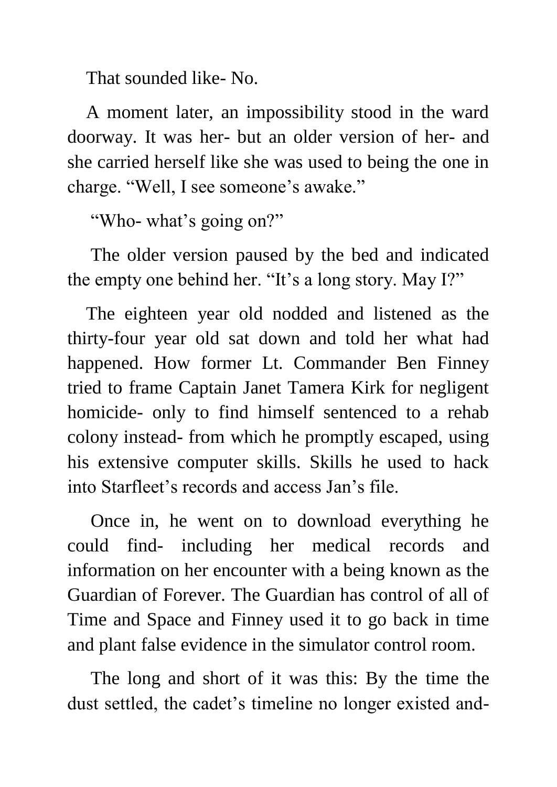That sounded like- No.

 A moment later, an impossibility stood in the ward doorway. It was her- but an older version of her- and she carried herself like she was used to being the one in charge. "Well, I see someone's awake."

"Who- what's going on?"

 The older version paused by the bed and indicated the empty one behind her. "It's a long story. May I?"

 The eighteen year old nodded and listened as the thirty-four year old sat down and told her what had happened. How former Lt. Commander Ben Finney tried to frame Captain Janet Tamera Kirk for negligent homicide- only to find himself sentenced to a rehab colony instead- from which he promptly escaped, using his extensive computer skills. Skills he used to hack into Starfleet's records and access Jan's file.

 Once in, he went on to download everything he could find- including her medical records and information on her encounter with a being known as the Guardian of Forever. The Guardian has control of all of Time and Space and Finney used it to go back in time and plant false evidence in the simulator control room.

 The long and short of it was this: By the time the dust settled, the cadet's timeline no longer existed and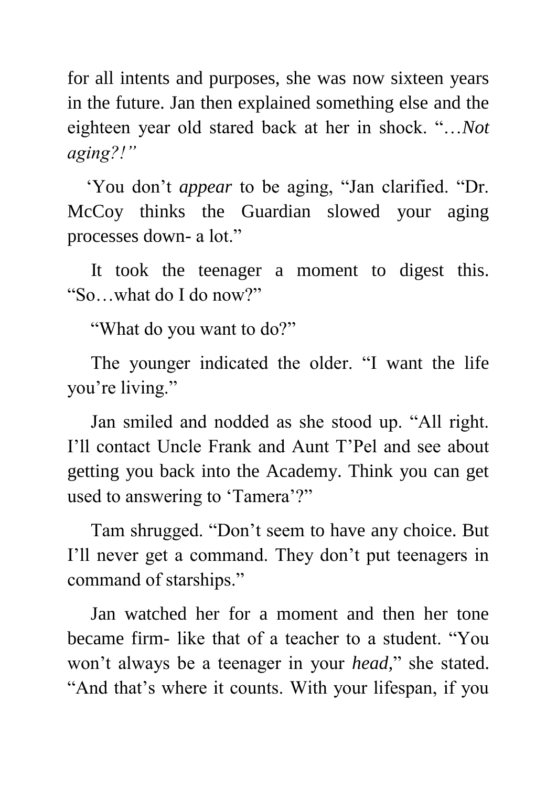for all intents and purposes, she was now sixteen years in the future. Jan then explained something else and the eighteen year old stared back at her in shock. "…*Not aging?!"*

 'You don't *appear* to be aging, "Jan clarified. "Dr. McCoy thinks the Guardian slowed your aging processes down- a lot."

 It took the teenager a moment to digest this. "So…what do I do now?"

"What do you want to do?"

 The younger indicated the older. "I want the life you're living."

 Jan smiled and nodded as she stood up. "All right. I'll contact Uncle Frank and Aunt T'Pel and see about getting you back into the Academy. Think you can get used to answering to 'Tamera'?"

 Tam shrugged. "Don't seem to have any choice. But I'll never get a command. They don't put teenagers in command of starships."

 Jan watched her for a moment and then her tone became firm- like that of a teacher to a student. "You won't always be a teenager in your *head,*" she stated. "And that's where it counts. With your lifespan, if you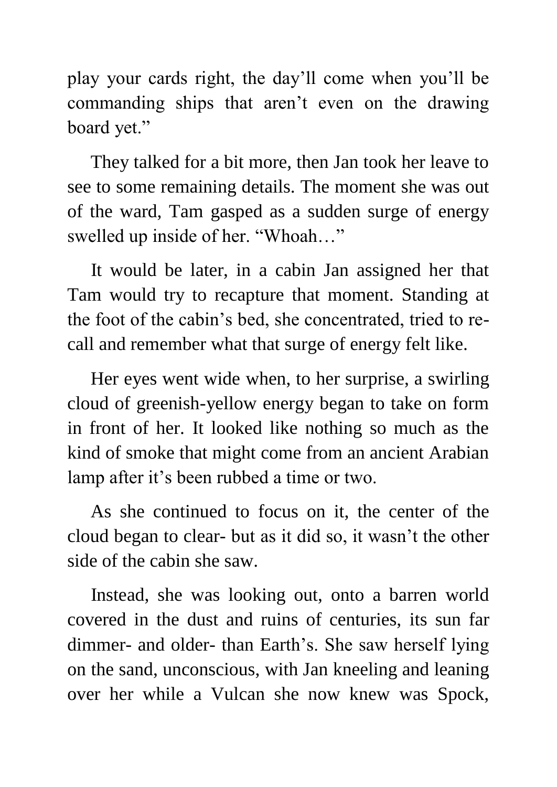play your cards right, the day'll come when you'll be commanding ships that aren't even on the drawing board yet."

 They talked for a bit more, then Jan took her leave to see to some remaining details. The moment she was out of the ward, Tam gasped as a sudden surge of energy swelled up inside of her. "Whoah…"

 It would be later, in a cabin Jan assigned her that Tam would try to recapture that moment. Standing at the foot of the cabin's bed, she concentrated, tried to recall and remember what that surge of energy felt like.

 Her eyes went wide when, to her surprise, a swirling cloud of greenish-yellow energy began to take on form in front of her. It looked like nothing so much as the kind of smoke that might come from an ancient Arabian lamp after it's been rubbed a time or two.

 As she continued to focus on it, the center of the cloud began to clear- but as it did so, it wasn't the other side of the cabin she saw.

 Instead, she was looking out, onto a barren world covered in the dust and ruins of centuries, its sun far dimmer- and older- than Earth's. She saw herself lying on the sand, unconscious, with Jan kneeling and leaning over her while a Vulcan she now knew was Spock,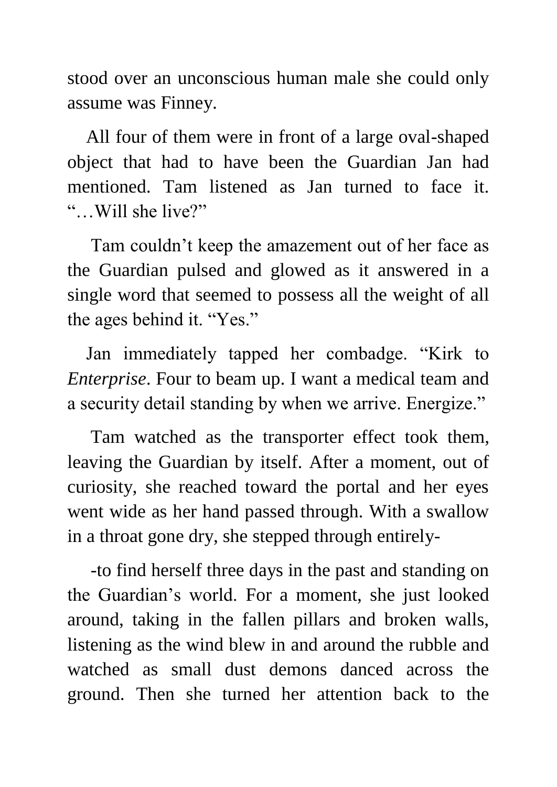stood over an unconscious human male she could only assume was Finney.

 All four of them were in front of a large oval-shaped object that had to have been the Guardian Jan had mentioned. Tam listened as Jan turned to face it. "…Will she live?"

 Tam couldn't keep the amazement out of her face as the Guardian pulsed and glowed as it answered in a single word that seemed to possess all the weight of all the ages behind it. "Yes."

 Jan immediately tapped her combadge. "Kirk to *Enterprise*. Four to beam up. I want a medical team and a security detail standing by when we arrive. Energize."

 Tam watched as the transporter effect took them, leaving the Guardian by itself. After a moment, out of curiosity, she reached toward the portal and her eyes went wide as her hand passed through. With a swallow in a throat gone dry, she stepped through entirely-

 -to find herself three days in the past and standing on the Guardian's world. For a moment, she just looked around, taking in the fallen pillars and broken walls, listening as the wind blew in and around the rubble and watched as small dust demons danced across the ground. Then she turned her attention back to the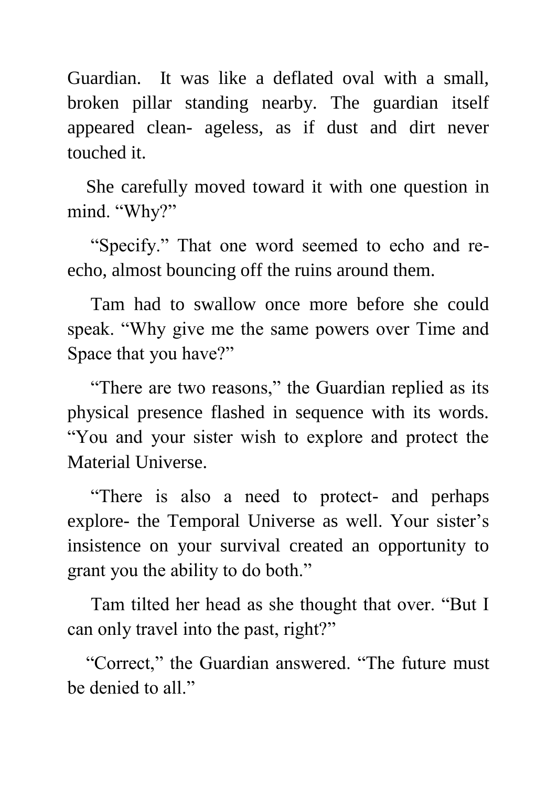Guardian. It was like a deflated oval with a small, broken pillar standing nearby. The guardian itself appeared clean- ageless, as if dust and dirt never touched it.

 She carefully moved toward it with one question in mind. "Why?"

 "Specify." That one word seemed to echo and reecho, almost bouncing off the ruins around them.

 Tam had to swallow once more before she could speak. "Why give me the same powers over Time and Space that you have?"

 "There are two reasons," the Guardian replied as its physical presence flashed in sequence with its words. "You and your sister wish to explore and protect the Material Universe.

 "There is also a need to protect- and perhaps explore- the Temporal Universe as well. Your sister's insistence on your survival created an opportunity to grant you the ability to do both."

 Tam tilted her head as she thought that over. "But I can only travel into the past, right?"

 "Correct," the Guardian answered. "The future must be denied to all."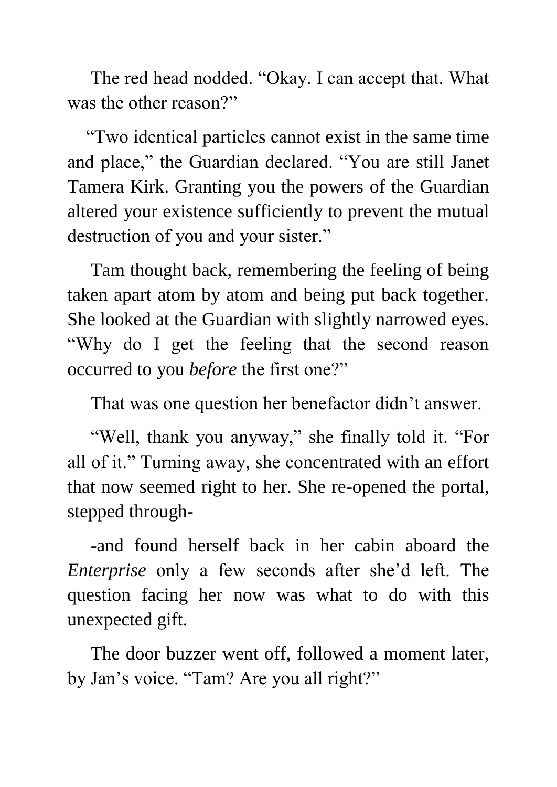The red head nodded. "Okay. I can accept that. What was the other reason?"

 "Two identical particles cannot exist in the same time and place," the Guardian declared. "You are still Janet Tamera Kirk. Granting you the powers of the Guardian altered your existence sufficiently to prevent the mutual destruction of you and your sister."

 Tam thought back, remembering the feeling of being taken apart atom by atom and being put back together. She looked at the Guardian with slightly narrowed eyes. "Why do I get the feeling that the second reason occurred to you *before* the first one?"

That was one question her benefactor didn't answer.

 "Well, thank you anyway," she finally told it. "For all of it." Turning away, she concentrated with an effort that now seemed right to her. She re-opened the portal, stepped through-

 -and found herself back in her cabin aboard the *Enterprise* only a few seconds after she'd left. The question facing her now was what to do with this unexpected gift.

 The door buzzer went off, followed a moment later, by Jan's voice. "Tam? Are you all right?"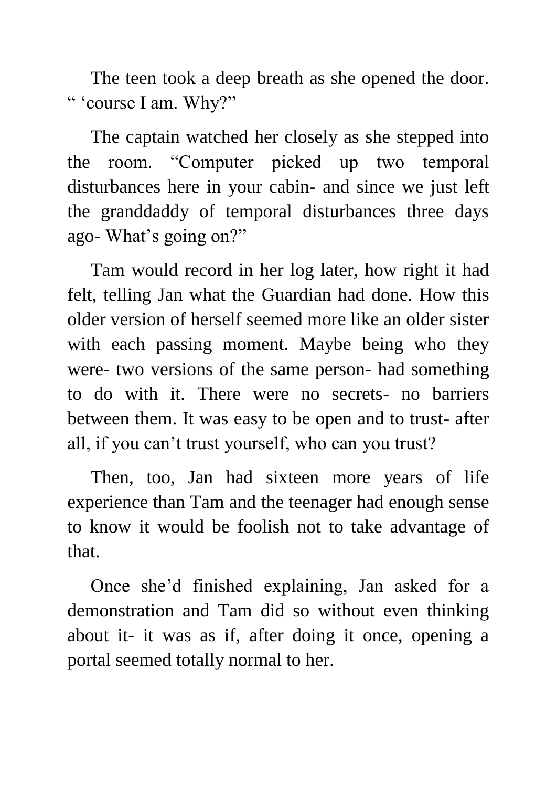The teen took a deep breath as she opened the door. " 'course I am. Why?"

 The captain watched her closely as she stepped into the room. "Computer picked up two temporal disturbances here in your cabin- and since we just left the granddaddy of temporal disturbances three days ago- What's going on?"

 Tam would record in her log later, how right it had felt, telling Jan what the Guardian had done. How this older version of herself seemed more like an older sister with each passing moment. Maybe being who they were- two versions of the same person- had something to do with it. There were no secrets- no barriers between them. It was easy to be open and to trust- after all, if you can't trust yourself, who can you trust?

 Then, too, Jan had sixteen more years of life experience than Tam and the teenager had enough sense to know it would be foolish not to take advantage of that.

 Once she'd finished explaining, Jan asked for a demonstration and Tam did so without even thinking about it- it was as if, after doing it once, opening a portal seemed totally normal to her.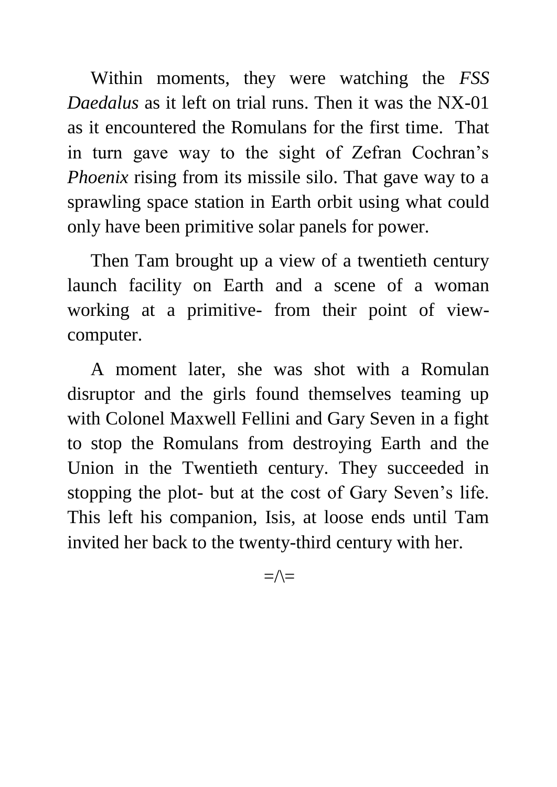Within moments, they were watching the *FSS Daedalus* as it left on trial runs. Then it was the NX-01 as it encountered the Romulans for the first time. That in turn gave way to the sight of Zefran Cochran's *Phoenix* rising from its missile silo. That gave way to a sprawling space station in Earth orbit using what could only have been primitive solar panels for power.

 Then Tam brought up a view of a twentieth century launch facility on Earth and a scene of a woman working at a primitive- from their point of viewcomputer.

 A moment later, she was shot with a Romulan disruptor and the girls found themselves teaming up with Colonel Maxwell Fellini and Gary Seven in a fight to stop the Romulans from destroying Earth and the Union in the Twentieth century. They succeeded in stopping the plot- but at the cost of Gary Seven's life. This left his companion, Isis, at loose ends until Tam invited her back to the twenty-third century with her.

 $=\wedge=$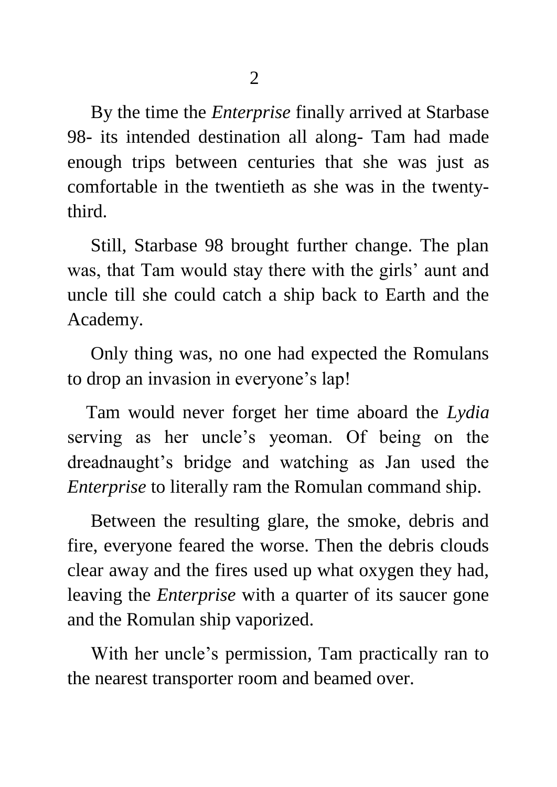By the time the *Enterprise* finally arrived at Starbase 98- its intended destination all along- Tam had made enough trips between centuries that she was just as comfortable in the twentieth as she was in the twentythird.

 Still, Starbase 98 brought further change. The plan was, that Tam would stay there with the girls' aunt and uncle till she could catch a ship back to Earth and the Academy.

 Only thing was, no one had expected the Romulans to drop an invasion in everyone's lap!

 Tam would never forget her time aboard the *Lydia* serving as her uncle's yeoman. Of being on the dreadnaught's bridge and watching as Jan used the *Enterprise* to literally ram the Romulan command ship.

 Between the resulting glare, the smoke, debris and fire, everyone feared the worse. Then the debris clouds clear away and the fires used up what oxygen they had, leaving the *Enterprise* with a quarter of its saucer gone and the Romulan ship vaporized.

 With her uncle's permission, Tam practically ran to the nearest transporter room and beamed over.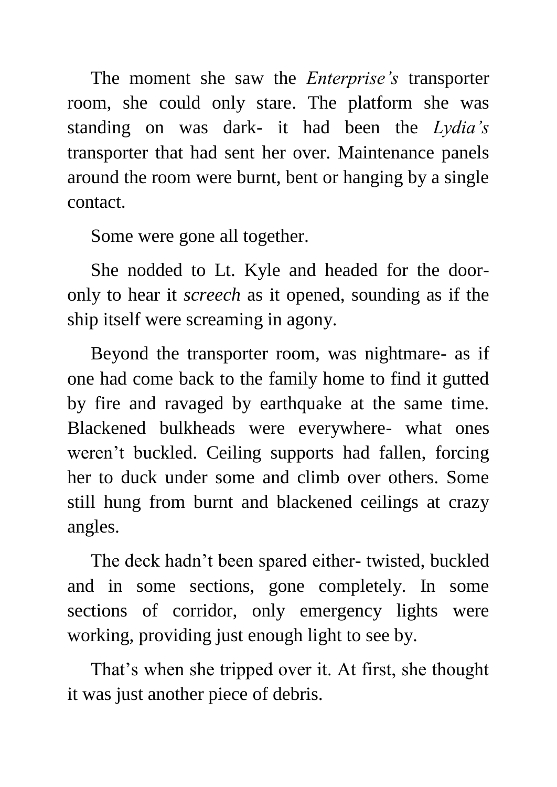The moment she saw the *Enterprise's* transporter room, she could only stare. The platform she was standing on was dark- it had been the *Lydia's* transporter that had sent her over. Maintenance panels around the room were burnt, bent or hanging by a single contact.

Some were gone all together.

 She nodded to Lt. Kyle and headed for the dooronly to hear it *screech* as it opened, sounding as if the ship itself were screaming in agony.

 Beyond the transporter room, was nightmare- as if one had come back to the family home to find it gutted by fire and ravaged by earthquake at the same time. Blackened bulkheads were everywhere- what ones weren't buckled. Ceiling supports had fallen, forcing her to duck under some and climb over others. Some still hung from burnt and blackened ceilings at crazy angles.

 The deck hadn't been spared either- twisted, buckled and in some sections, gone completely. In some sections of corridor, only emergency lights were working, providing just enough light to see by.

 That's when she tripped over it. At first, she thought it was just another piece of debris.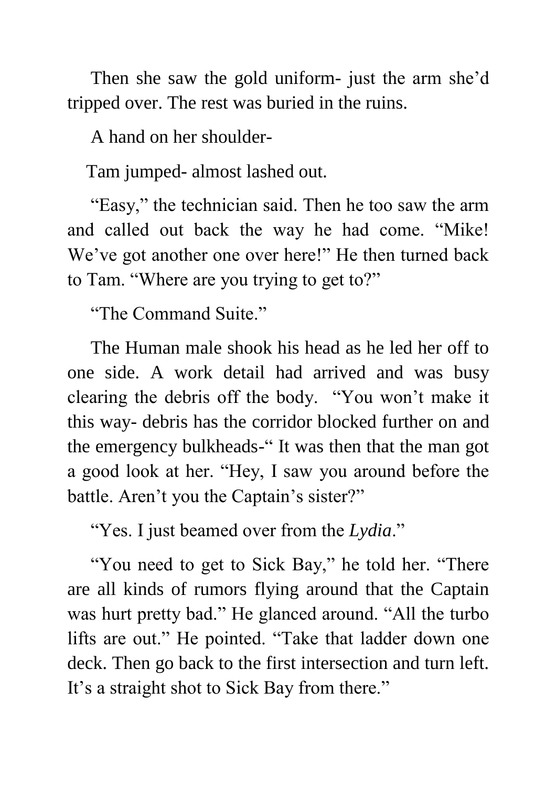Then she saw the gold uniform- just the arm she'd tripped over. The rest was buried in the ruins.

A hand on her shoulder-

Tam jumped- almost lashed out.

 "Easy," the technician said. Then he too saw the arm and called out back the way he had come. "Mike! We've got another one over here!" He then turned back to Tam. "Where are you trying to get to?"

"The Command Suite."

 The Human male shook his head as he led her off to one side. A work detail had arrived and was busy clearing the debris off the body. "You won't make it this way- debris has the corridor blocked further on and the emergency bulkheads-" It was then that the man got a good look at her. "Hey, I saw you around before the battle. Aren't you the Captain's sister?"

"Yes. I just beamed over from the *Lydia*."

 "You need to get to Sick Bay," he told her. "There are all kinds of rumors flying around that the Captain was hurt pretty bad." He glanced around. "All the turbo lifts are out." He pointed. "Take that ladder down one deck. Then go back to the first intersection and turn left. It's a straight shot to Sick Bay from there."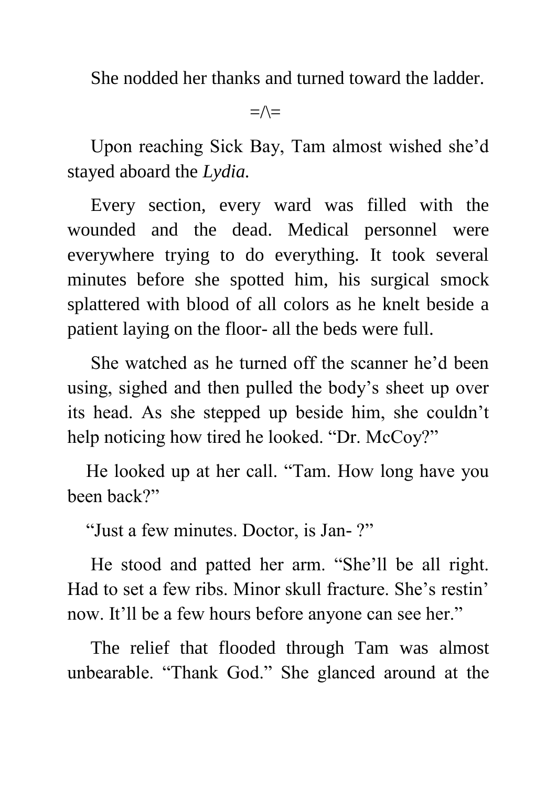She nodded her thanks and turned toward the ladder.

 $=\wedge=$ 

 Upon reaching Sick Bay, Tam almost wished she'd stayed aboard the *Lydia.*

 Every section, every ward was filled with the wounded and the dead. Medical personnel were everywhere trying to do everything. It took several minutes before she spotted him, his surgical smock splattered with blood of all colors as he knelt beside a patient laying on the floor- all the beds were full.

 She watched as he turned off the scanner he'd been using, sighed and then pulled the body's sheet up over its head. As she stepped up beside him, she couldn't help noticing how tired he looked. "Dr. McCoy?"

 He looked up at her call. "Tam. How long have you been back?"

"Just a few minutes. Doctor, is Jan- ?"

 He stood and patted her arm. "She'll be all right. Had to set a few ribs. Minor skull fracture. She's restin' now. It'll be a few hours before anyone can see her."

 The relief that flooded through Tam was almost unbearable. "Thank God." She glanced around at the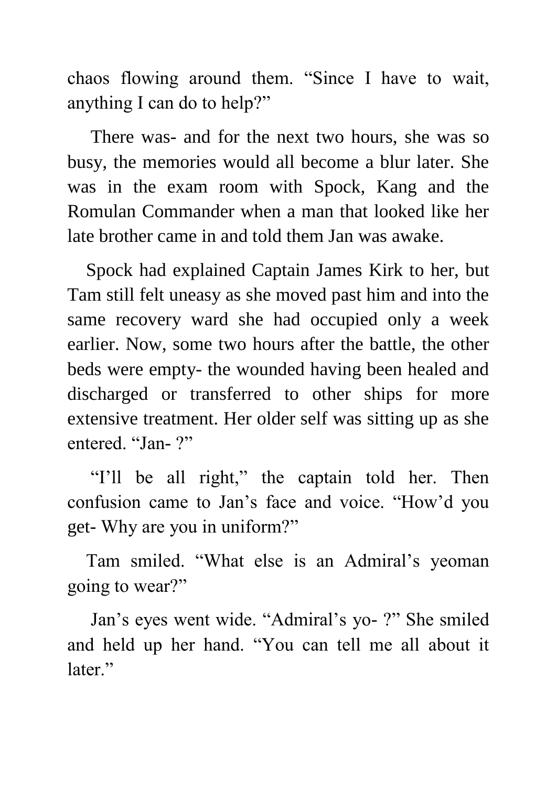chaos flowing around them. "Since I have to wait, anything I can do to help?"

 There was- and for the next two hours, she was so busy, the memories would all become a blur later. She was in the exam room with Spock, Kang and the Romulan Commander when a man that looked like her late brother came in and told them Jan was awake.

 Spock had explained Captain James Kirk to her, but Tam still felt uneasy as she moved past him and into the same recovery ward she had occupied only a week earlier. Now, some two hours after the battle, the other beds were empty- the wounded having been healed and discharged or transferred to other ships for more extensive treatment. Her older self was sitting up as she entered. "Jan-?"

 "I'll be all right," the captain told her. Then confusion came to Jan's face and voice. "How'd you get- Why are you in uniform?"

 Tam smiled. "What else is an Admiral's yeoman going to wear?"

 Jan's eyes went wide. "Admiral's yo- ?" She smiled and held up her hand. "You can tell me all about it later."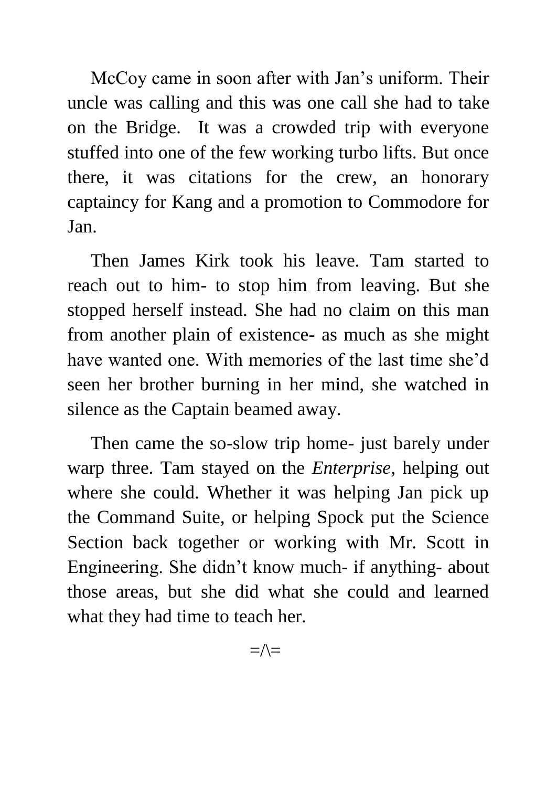McCoy came in soon after with Jan's uniform. Their uncle was calling and this was one call she had to take on the Bridge. It was a crowded trip with everyone stuffed into one of the few working turbo lifts. But once there, it was citations for the crew, an honorary captaincy for Kang and a promotion to Commodore for Jan.

 Then James Kirk took his leave. Tam started to reach out to him- to stop him from leaving. But she stopped herself instead. She had no claim on this man from another plain of existence- as much as she might have wanted one. With memories of the last time she'd seen her brother burning in her mind, she watched in silence as the Captain beamed away.

 Then came the so-slow trip home- just barely under warp three. Tam stayed on the *Enterprise*, helping out where she could. Whether it was helping Jan pick up the Command Suite, or helping Spock put the Science Section back together or working with Mr. Scott in Engineering. She didn't know much- if anything- about those areas, but she did what she could and learned what they had time to teach her.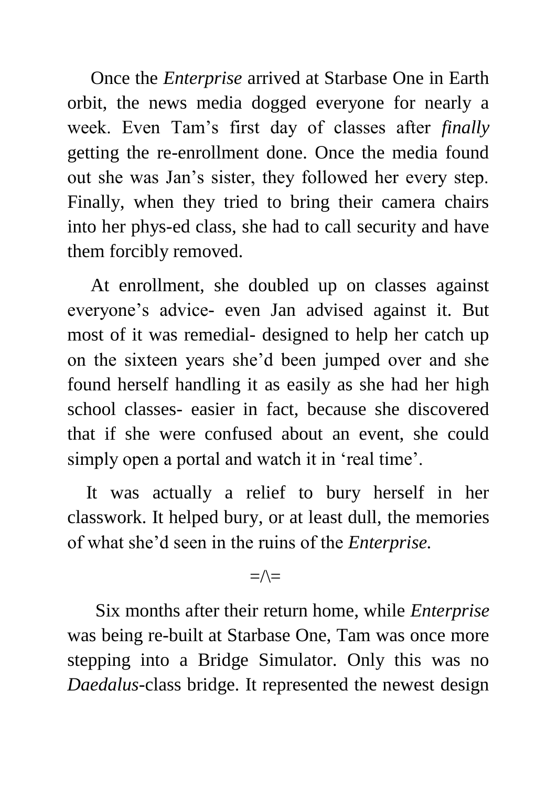Once the *Enterprise* arrived at Starbase One in Earth orbit, the news media dogged everyone for nearly a week. Even Tam's first day of classes after *finally* getting the re-enrollment done. Once the media found out she was Jan's sister, they followed her every step. Finally, when they tried to bring their camera chairs into her phys-ed class, she had to call security and have them forcibly removed.

 At enrollment, she doubled up on classes against everyone's advice- even Jan advised against it. But most of it was remedial- designed to help her catch up on the sixteen years she'd been jumped over and she found herself handling it as easily as she had her high school classes- easier in fact, because she discovered that if she were confused about an event, she could simply open a portal and watch it in 'real time'.

 It was actually a relief to bury herself in her classwork. It helped bury, or at least dull, the memories of what she'd seen in the ruins of the *Enterprise.*

 $=\wedge$ 

 Six months after their return home, while *Enterprise* was being re-built at Starbase One, Tam was once more stepping into a Bridge Simulator. Only this was no *Daedalus*-class bridge. It represented the newest design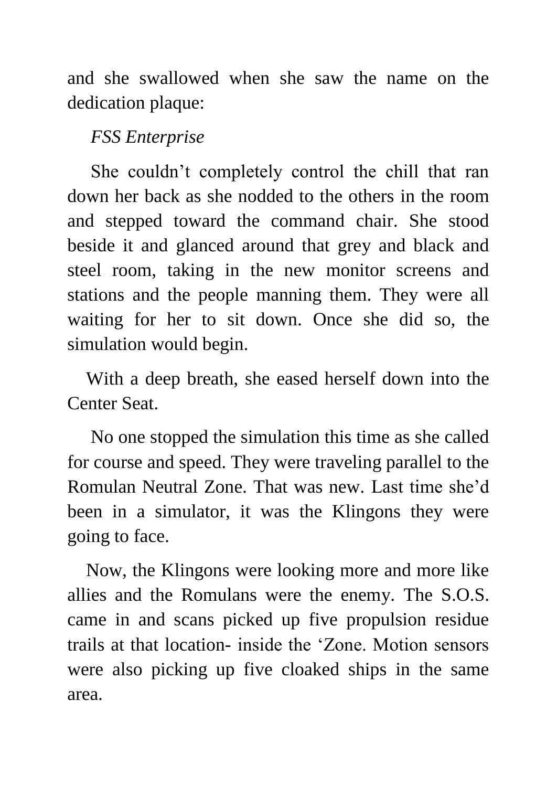and she swallowed when she saw the name on the dedication plaque:

#### *FSS Enterprise*

 She couldn't completely control the chill that ran down her back as she nodded to the others in the room and stepped toward the command chair. She stood beside it and glanced around that grey and black and steel room, taking in the new monitor screens and stations and the people manning them. They were all waiting for her to sit down. Once she did so, the simulation would begin.

 With a deep breath, she eased herself down into the Center Seat.

 No one stopped the simulation this time as she called for course and speed. They were traveling parallel to the Romulan Neutral Zone. That was new. Last time she'd been in a simulator, it was the Klingons they were going to face.

 Now, the Klingons were looking more and more like allies and the Romulans were the enemy. The S.O.S. came in and scans picked up five propulsion residue trails at that location- inside the 'Zone. Motion sensors were also picking up five cloaked ships in the same area.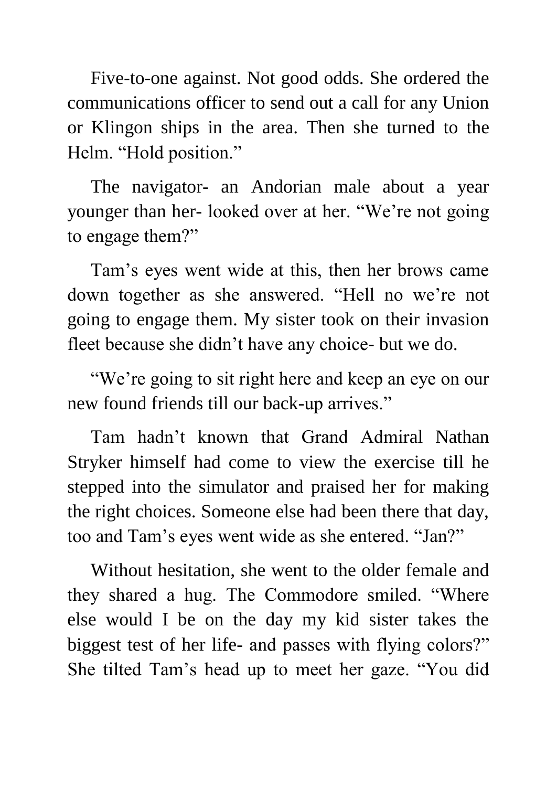Five-to-one against. Not good odds. She ordered the communications officer to send out a call for any Union or Klingon ships in the area. Then she turned to the Helm. "Hold position."

 The navigator- an Andorian male about a year younger than her- looked over at her. "We're not going to engage them?"

 Tam's eyes went wide at this, then her brows came down together as she answered. "Hell no we're not going to engage them. My sister took on their invasion fleet because she didn't have any choice- but we do.

 "We're going to sit right here and keep an eye on our new found friends till our back-up arrives."

 Tam hadn't known that Grand Admiral Nathan Stryker himself had come to view the exercise till he stepped into the simulator and praised her for making the right choices. Someone else had been there that day, too and Tam's eyes went wide as she entered. "Jan?"

 Without hesitation, she went to the older female and they shared a hug. The Commodore smiled. "Where else would I be on the day my kid sister takes the biggest test of her life- and passes with flying colors?" She tilted Tam's head up to meet her gaze. "You did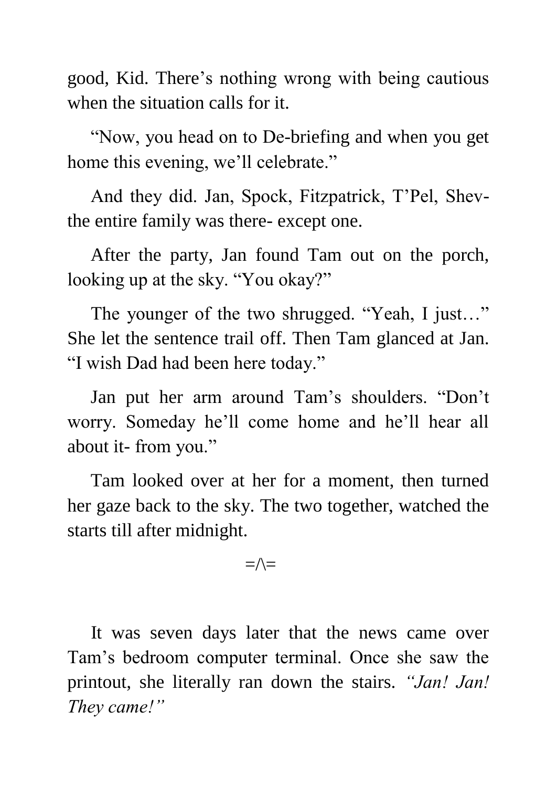good, Kid. There's nothing wrong with being cautious when the situation calls for it.

 "Now, you head on to De-briefing and when you get home this evening, we'll celebrate."

 And they did. Jan, Spock, Fitzpatrick, T'Pel, Shevthe entire family was there- except one.

 After the party, Jan found Tam out on the porch, looking up at the sky. "You okay?"

The younger of the two shrugged. "Yeah, I just..." She let the sentence trail off. Then Tam glanced at Jan. "I wish Dad had been here today."

 Jan put her arm around Tam's shoulders. "Don't worry. Someday he'll come home and he'll hear all about it- from you."

 Tam looked over at her for a moment, then turned her gaze back to the sky. The two together, watched the starts till after midnight.

#### $=\wedge=$

 It was seven days later that the news came over Tam's bedroom computer terminal. Once she saw the printout, she literally ran down the stairs. *"Jan! Jan! They came!"*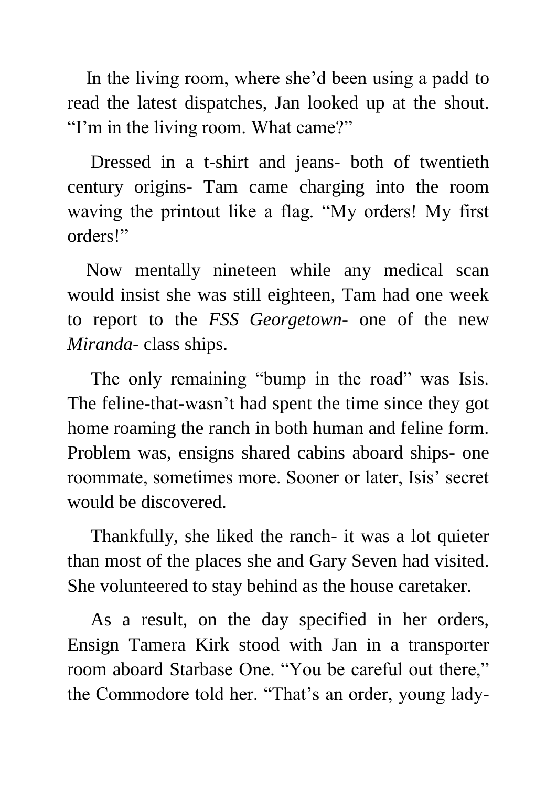In the living room, where she'd been using a padd to read the latest dispatches, Jan looked up at the shout. "I'm in the living room. What came?"

 Dressed in a t-shirt and jeans- both of twentieth century origins- Tam came charging into the room waving the printout like a flag. "My orders! My first orders!"

 Now mentally nineteen while any medical scan would insist she was still eighteen, Tam had one week to report to the *FSS Georgetown*- one of the new *Miranda*- class ships.

The only remaining "bump in the road" was Isis. The feline-that-wasn't had spent the time since they got home roaming the ranch in both human and feline form. Problem was, ensigns shared cabins aboard ships- one roommate, sometimes more. Sooner or later, Isis' secret would be discovered.

 Thankfully, she liked the ranch- it was a lot quieter than most of the places she and Gary Seven had visited. She volunteered to stay behind as the house caretaker.

 As a result, on the day specified in her orders, Ensign Tamera Kirk stood with Jan in a transporter room aboard Starbase One. "You be careful out there," the Commodore told her. "That's an order, young lady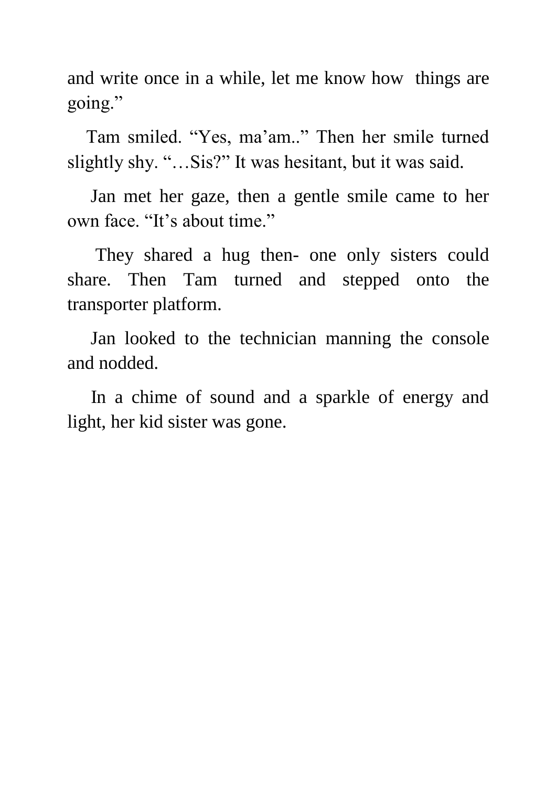and write once in a while, let me know how things are going."

 Tam smiled. "Yes, ma'am.." Then her smile turned slightly shy. "…Sis?" It was hesitant, but it was said.

 Jan met her gaze, then a gentle smile came to her own face. "It's about time."

 They shared a hug then- one only sisters could share. Then Tam turned and stepped onto the transporter platform.

 Jan looked to the technician manning the console and nodded.

 In a chime of sound and a sparkle of energy and light, her kid sister was gone.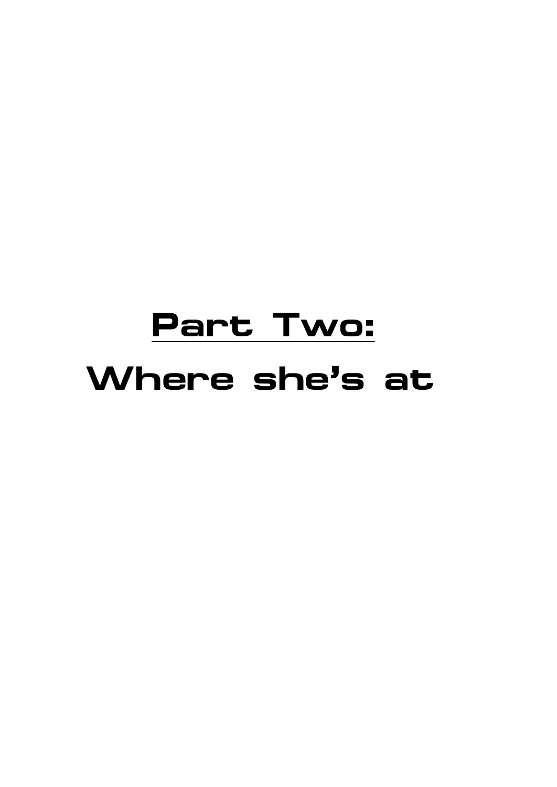# **Part Two: Where she's at**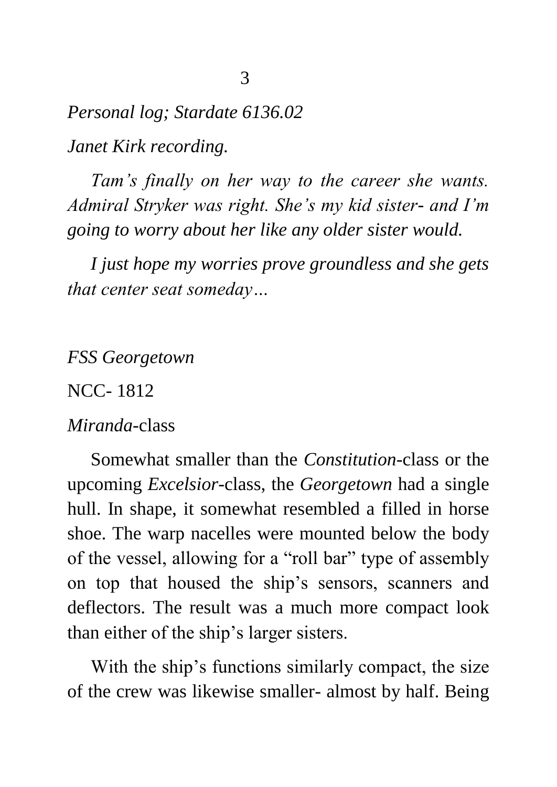*Personal log; Stardate 6136.02 Janet Kirk recording.*

 *Tam's finally on her way to the career she wants. Admiral Stryker was right. She's my kid sister- and I'm going to worry about her like any older sister would.*

 *I just hope my worries prove groundless and she gets that center seat someday…*

*FSS Georgetown*

NCC- 1812

#### *Miranda-*class

 Somewhat smaller than the *Constitution-*class or the upcoming *Excelsior*-class, the *Georgetown* had a single hull. In shape, it somewhat resembled a filled in horse shoe. The warp nacelles were mounted below the body of the vessel, allowing for a "roll bar" type of assembly on top that housed the ship's sensors, scanners and deflectors. The result was a much more compact look than either of the ship's larger sisters.

 With the ship's functions similarly compact, the size of the crew was likewise smaller- almost by half. Being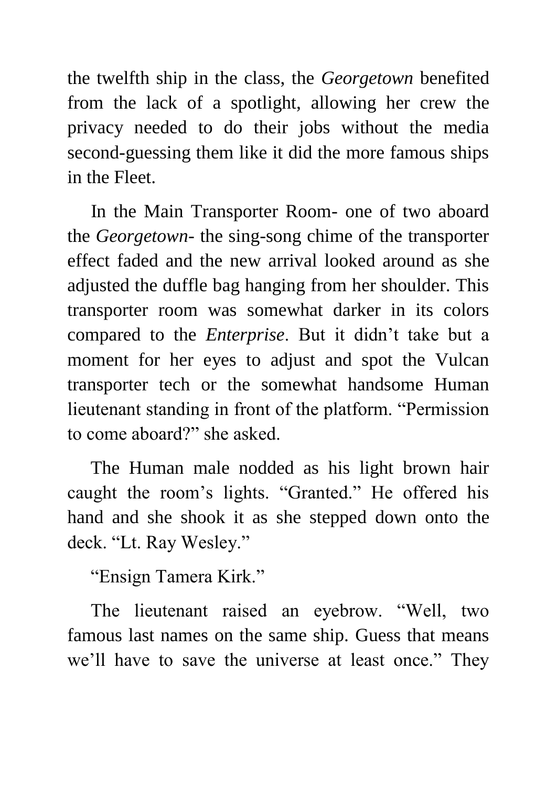the twelfth ship in the class, the *Georgetown* benefited from the lack of a spotlight, allowing her crew the privacy needed to do their jobs without the media second-guessing them like it did the more famous ships in the Fleet.

 In the Main Transporter Room- one of two aboard the *Georgetown*- the sing-song chime of the transporter effect faded and the new arrival looked around as she adjusted the duffle bag hanging from her shoulder. This transporter room was somewhat darker in its colors compared to the *Enterprise*. But it didn't take but a moment for her eyes to adjust and spot the Vulcan transporter tech or the somewhat handsome Human lieutenant standing in front of the platform. "Permission to come aboard?" she asked.

 The Human male nodded as his light brown hair caught the room's lights. "Granted." He offered his hand and she shook it as she stepped down onto the deck. "Lt. Ray Wesley."

"Ensign Tamera Kirk."

 The lieutenant raised an eyebrow. "Well, two famous last names on the same ship. Guess that means we'll have to save the universe at least once." They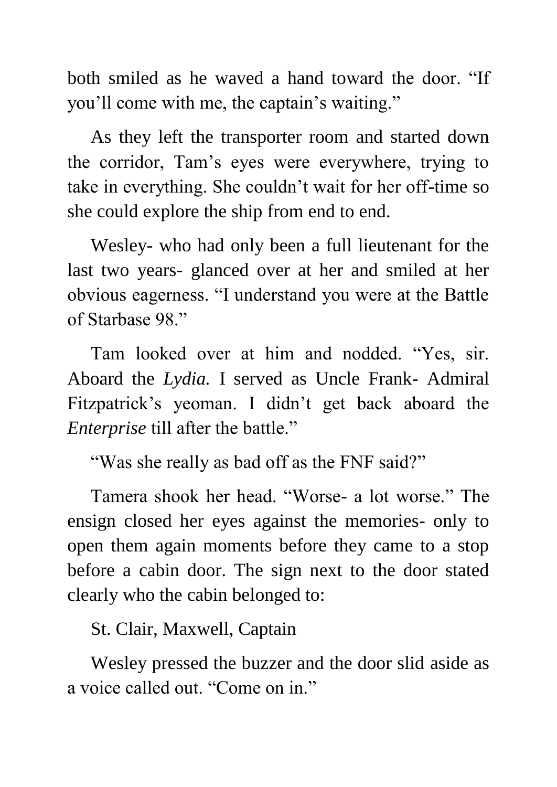both smiled as he waved a hand toward the door. "If you'll come with me, the captain's waiting."

 As they left the transporter room and started down the corridor, Tam's eyes were everywhere, trying to take in everything. She couldn't wait for her off-time so she could explore the ship from end to end.

 Wesley- who had only been a full lieutenant for the last two years- glanced over at her and smiled at her obvious eagerness. "I understand you were at the Battle of Starbase 98."

 Tam looked over at him and nodded. "Yes, sir. Aboard the *Lydia.* I served as Uncle Frank- Admiral Fitzpatrick's yeoman. I didn't get back aboard the *Enterprise* till after the battle."

"Was she really as bad off as the FNF said?"

 Tamera shook her head. "Worse- a lot worse." The ensign closed her eyes against the memories- only to open them again moments before they came to a stop before a cabin door. The sign next to the door stated clearly who the cabin belonged to:

St. Clair, Maxwell, Captain

 Wesley pressed the buzzer and the door slid aside as a voice called out. "Come on in."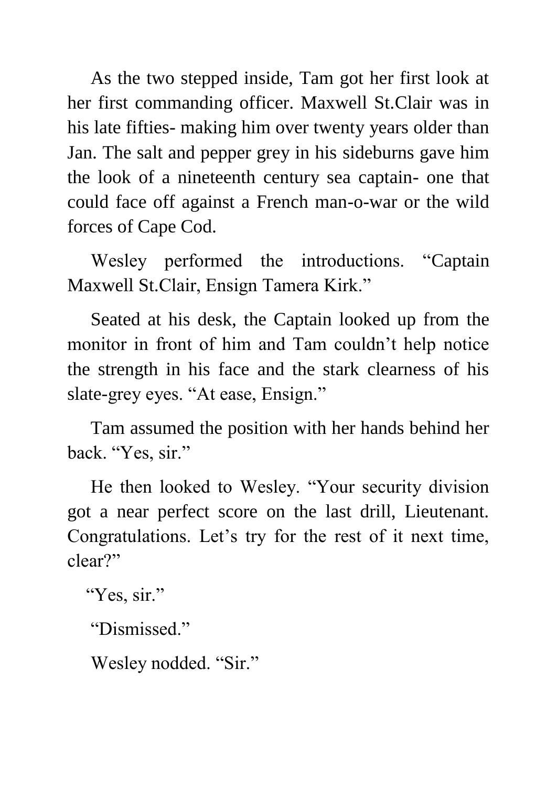As the two stepped inside, Tam got her first look at her first commanding officer. Maxwell St.Clair was in his late fifties- making him over twenty years older than Jan. The salt and pepper grey in his sideburns gave him the look of a nineteenth century sea captain- one that could face off against a French man-o-war or the wild forces of Cape Cod.

 Wesley performed the introductions. "Captain Maxwell St.Clair, Ensign Tamera Kirk."

 Seated at his desk, the Captain looked up from the monitor in front of him and Tam couldn't help notice the strength in his face and the stark clearness of his slate-grey eyes. "At ease, Ensign."

 Tam assumed the position with her hands behind her back. "Yes, sir."

 He then looked to Wesley. "Your security division got a near perfect score on the last drill, Lieutenant. Congratulations. Let's try for the rest of it next time, clear?"

"Yes, sir."

"Dismissed."

Wesley nodded. "Sir."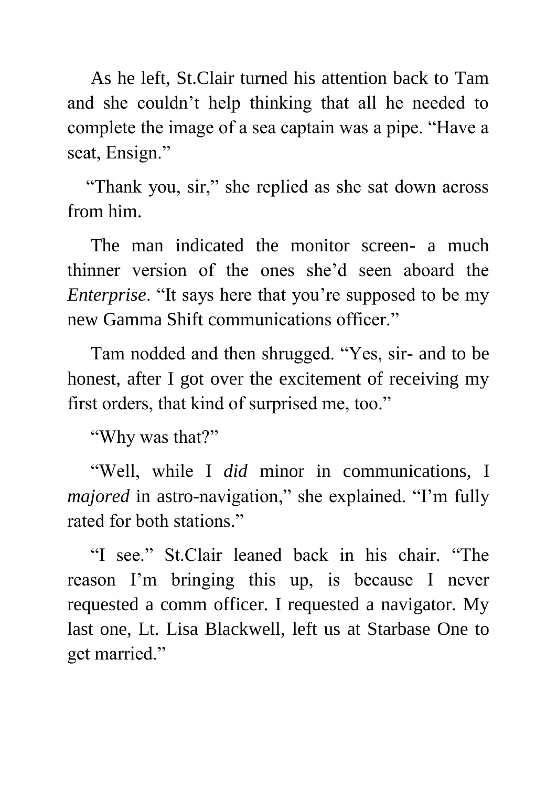As he left, St.Clair turned his attention back to Tam and she couldn't help thinking that all he needed to complete the image of a sea captain was a pipe. "Have a seat, Ensign."

 "Thank you, sir," she replied as she sat down across from him.

 The man indicated the monitor screen- a much thinner version of the ones she'd seen aboard the *Enterprise*. "It says here that you're supposed to be my new Gamma Shift communications officer."

 Tam nodded and then shrugged. "Yes, sir- and to be honest, after I got over the excitement of receiving my first orders, that kind of surprised me, too."

"Why was that?"

 "Well, while I *did* minor in communications, I *majored* in astro-navigation," she explained. "I'm fully rated for both stations."

 "I see." St.Clair leaned back in his chair. "The reason I'm bringing this up, is because I never requested a comm officer. I requested a navigator. My last one, Lt. Lisa Blackwell, left us at Starbase One to get married."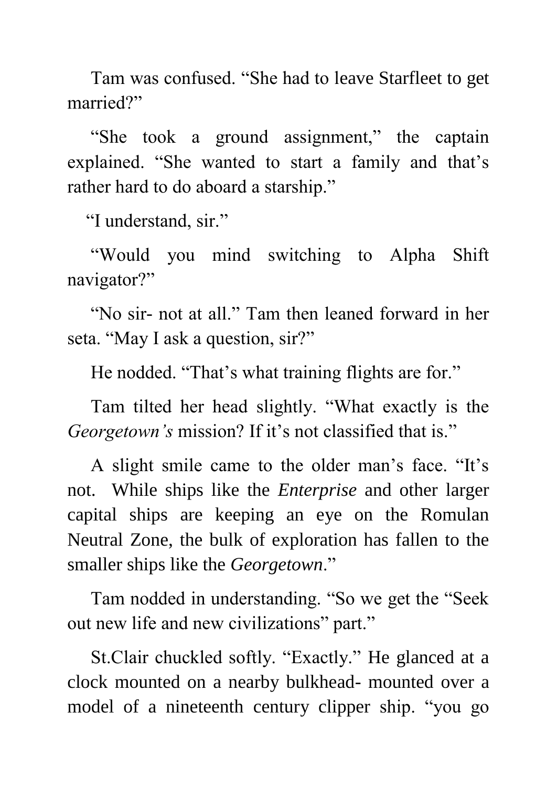Tam was confused. "She had to leave Starfleet to get married?"

 "She took a ground assignment," the captain explained. "She wanted to start a family and that's rather hard to do aboard a starship."

"I understand, sir."

 "Would you mind switching to Alpha Shift navigator?"

 "No sir- not at all." Tam then leaned forward in her seta. "May I ask a question, sir?"

He nodded. "That's what training flights are for."

 Tam tilted her head slightly. "What exactly is the *Georgetown's* mission? If it's not classified that is."

 A slight smile came to the older man's face. "It's not. While ships like the *Enterprise* and other larger capital ships are keeping an eye on the Romulan Neutral Zone, the bulk of exploration has fallen to the smaller ships like the *Georgetown*."

 Tam nodded in understanding. "So we get the "Seek out new life and new civilizations" part."

 St.Clair chuckled softly. "Exactly." He glanced at a clock mounted on a nearby bulkhead- mounted over a model of a nineteenth century clipper ship. "you go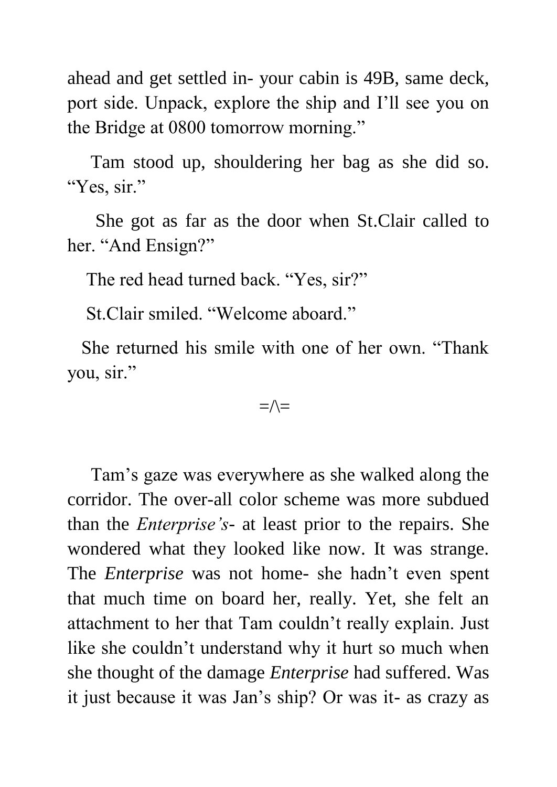ahead and get settled in- your cabin is 49B, same deck, port side. Unpack, explore the ship and I'll see you on the Bridge at 0800 tomorrow morning."

 Tam stood up, shouldering her bag as she did so. "Yes, sir."

 She got as far as the door when St.Clair called to her. "And Ensign?"

The red head turned back. "Yes, sir?"

St.Clair smiled. "Welcome aboard."

 She returned his smile with one of her own. "Thank you, sir."

#### $=\wedge=$

 Tam's gaze was everywhere as she walked along the corridor. The over-all color scheme was more subdued than the *Enterprise's*- at least prior to the repairs. She wondered what they looked like now. It was strange. The *Enterprise* was not home- she hadn't even spent that much time on board her, really. Yet, she felt an attachment to her that Tam couldn't really explain. Just like she couldn't understand why it hurt so much when she thought of the damage *Enterprise* had suffered. Was it just because it was Jan's ship? Or was it- as crazy as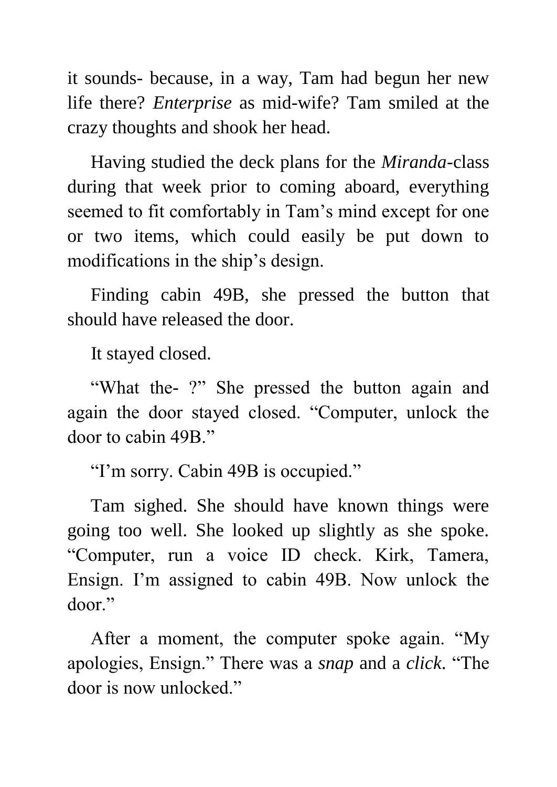it sounds- because, in a way, Tam had begun her new life there? *Enterprise* as mid-wife? Tam smiled at the crazy thoughts and shook her head.

 Having studied the deck plans for the *Miranda*-class during that week prior to coming aboard, everything seemed to fit comfortably in Tam's mind except for one or two items, which could easily be put down to modifications in the ship's design.

 Finding cabin 49B, she pressed the button that should have released the door.

It stayed closed.

 "What the- ?" She pressed the button again and again the door stayed closed. "Computer, unlock the door to cabin 49B."

"I'm sorry. Cabin 49B is occupied."

 Tam sighed. She should have known things were going too well. She looked up slightly as she spoke. "Computer, run a voice ID check. Kirk, Tamera, Ensign. I'm assigned to cabin 49B. Now unlock the door."

 After a moment, the computer spoke again. "My apologies, Ensign." There was a *snap* and a *click*. "The door is now unlocked."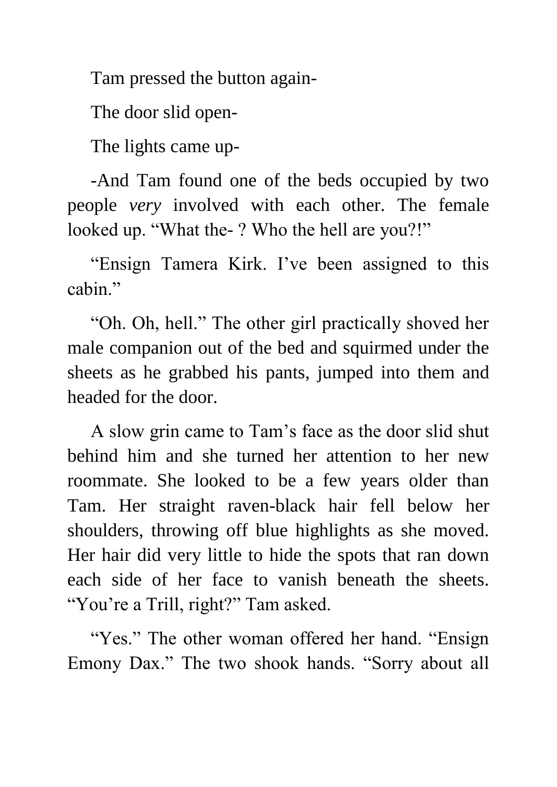Tam pressed the button again-

The door slid open-

The lights came up-

 -And Tam found one of the beds occupied by two people *very* involved with each other. The female looked up. "What the- ? Who the hell are you?!"

 "Ensign Tamera Kirk. I've been assigned to this cabin."

 "Oh. Oh, hell." The other girl practically shoved her male companion out of the bed and squirmed under the sheets as he grabbed his pants, jumped into them and headed for the door.

 A slow grin came to Tam's face as the door slid shut behind him and she turned her attention to her new roommate. She looked to be a few years older than Tam. Her straight raven-black hair fell below her shoulders, throwing off blue highlights as she moved. Her hair did very little to hide the spots that ran down each side of her face to vanish beneath the sheets. "You're a Trill, right?" Tam asked.

"Yes." The other woman offered her hand. "Ensign Emony Dax." The two shook hands. "Sorry about all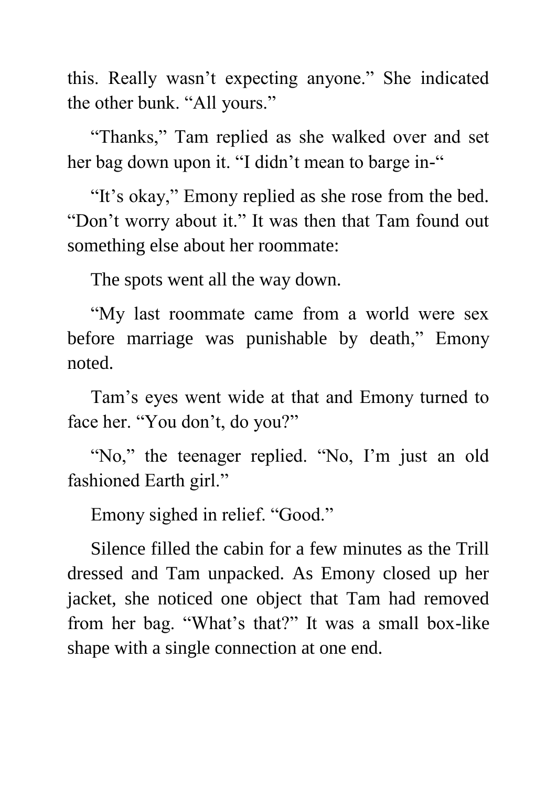this. Really wasn't expecting anyone." She indicated the other bunk. "All yours."

 "Thanks," Tam replied as she walked over and set her bag down upon it. "I didn't mean to barge in-"

"It's okay," Emony replied as she rose from the bed. "Don't worry about it." It was then that Tam found out something else about her roommate:

The spots went all the way down.

 "My last roommate came from a world were sex before marriage was punishable by death," Emony noted.

 Tam's eyes went wide at that and Emony turned to face her. "You don't, do you?"

"No," the teenager replied. "No, I'm just an old fashioned Earth girl."

Emony sighed in relief. "Good."

 Silence filled the cabin for a few minutes as the Trill dressed and Tam unpacked. As Emony closed up her jacket, she noticed one object that Tam had removed from her bag. "What's that?" It was a small box-like shape with a single connection at one end.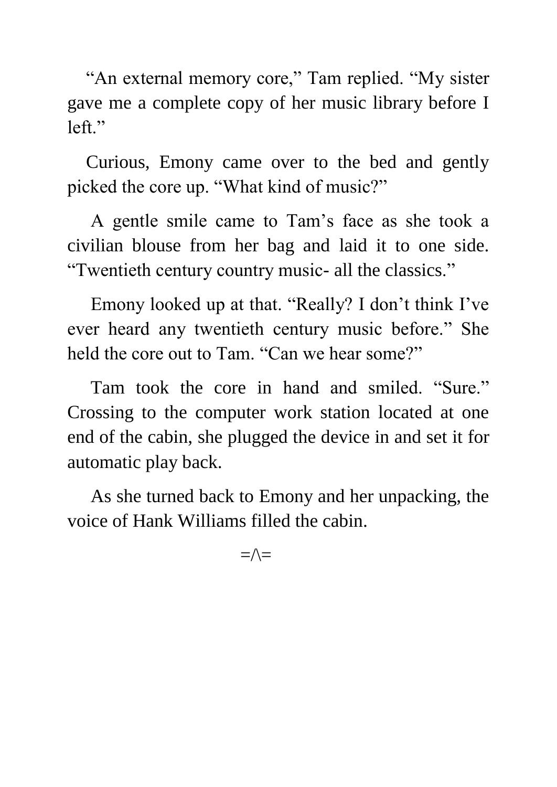"An external memory core," Tam replied. "My sister gave me a complete copy of her music library before I left."

 Curious, Emony came over to the bed and gently picked the core up. "What kind of music?"

 A gentle smile came to Tam's face as she took a civilian blouse from her bag and laid it to one side. "Twentieth century country music- all the classics."

 Emony looked up at that. "Really? I don't think I've ever heard any twentieth century music before." She held the core out to Tam. "Can we hear some?"

 Tam took the core in hand and smiled. "Sure." Crossing to the computer work station located at one end of the cabin, she plugged the device in and set it for automatic play back.

 As she turned back to Emony and her unpacking, the voice of Hank Williams filled the cabin.

 $=\wedge$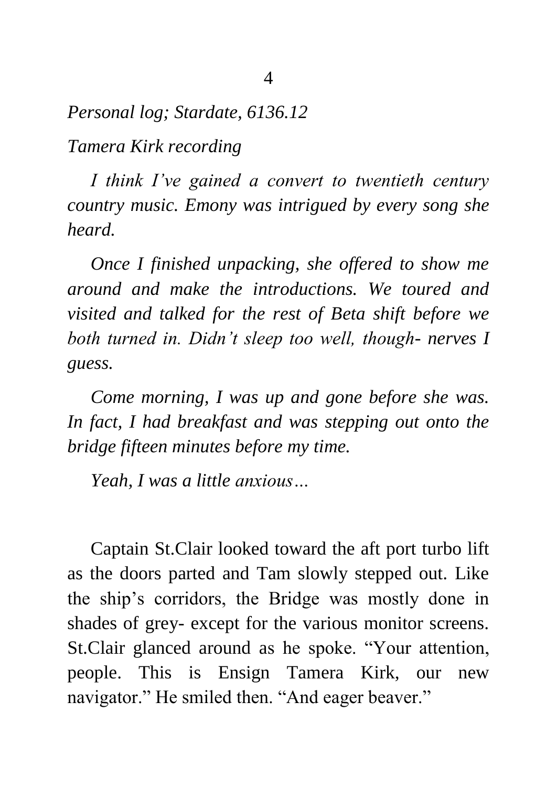*Personal log; Stardate, 6136.12*

*Tamera Kirk recording*

 *I think I've gained a convert to twentieth century country music. Emony was intrigued by every song she heard.*

 *Once I finished unpacking, she offered to show me around and make the introductions. We toured and visited and talked for the rest of Beta shift before we both turned in. Didn't sleep too well, though- nerves I guess.*

 *Come morning, I was up and gone before she was. In fact, I had breakfast and was stepping out onto the bridge fifteen minutes before my time.*

 *Yeah, I was a little anxious…*

 Captain St.Clair looked toward the aft port turbo lift as the doors parted and Tam slowly stepped out. Like the ship's corridors, the Bridge was mostly done in shades of grey- except for the various monitor screens. St.Clair glanced around as he spoke. "Your attention, people. This is Ensign Tamera Kirk, our new navigator." He smiled then. "And eager beaver."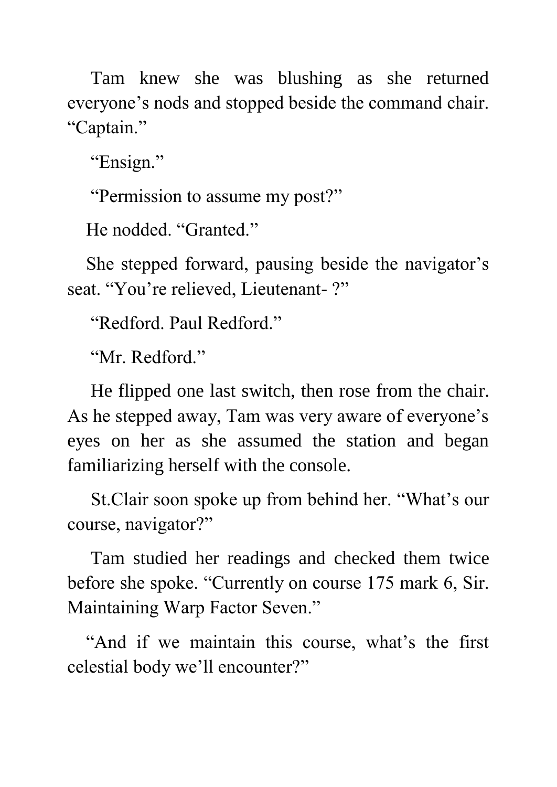Tam knew she was blushing as she returned everyone's nods and stopped beside the command chair. "Captain."

"Ensign."

"Permission to assume my post?"

He nodded. "Granted."

 She stepped forward, pausing beside the navigator's seat. "You're relieved, Lieutenant- ?"

"Redford. Paul Redford."

"Mr. Redford."

 He flipped one last switch, then rose from the chair. As he stepped away, Tam was very aware of everyone's eyes on her as she assumed the station and began familiarizing herself with the console.

 St.Clair soon spoke up from behind her. "What's our course, navigator?"

 Tam studied her readings and checked them twice before she spoke. "Currently on course 175 mark 6, Sir. Maintaining Warp Factor Seven."

 "And if we maintain this course, what's the first celestial body we'll encounter?"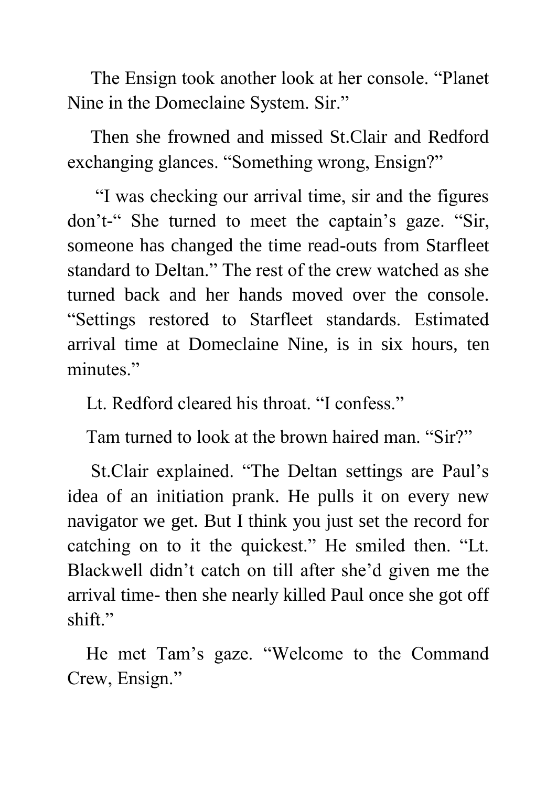The Ensign took another look at her console. "Planet Nine in the Domeclaine System. Sir."

 Then she frowned and missed St.Clair and Redford exchanging glances. "Something wrong, Ensign?"

 "I was checking our arrival time, sir and the figures don't-" She turned to meet the captain's gaze. "Sir, someone has changed the time read-outs from Starfleet standard to Deltan." The rest of the crew watched as she turned back and her hands moved over the console. "Settings restored to Starfleet standards. Estimated arrival time at Domeclaine Nine, is in six hours, ten minutes."

Lt. Redford cleared his throat. "I confess."

Tam turned to look at the brown haired man. "Sir?"

 St.Clair explained. "The Deltan settings are Paul's idea of an initiation prank. He pulls it on every new navigator we get. But I think you just set the record for catching on to it the quickest." He smiled then. "Lt. Blackwell didn't catch on till after she'd given me the arrival time- then she nearly killed Paul once she got off shift."

 He met Tam's gaze. "Welcome to the Command Crew, Ensign."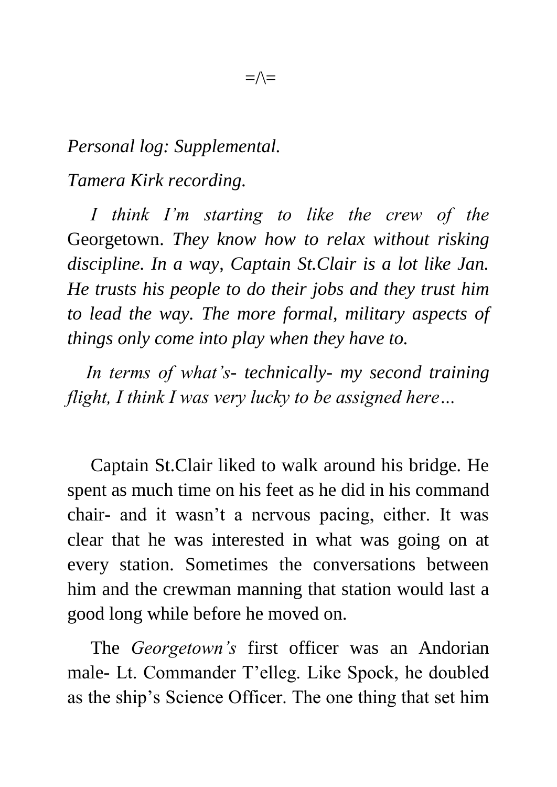## *Personal log: Supplemental. Tamera Kirk recording.*

 *I think I'm starting to like the crew of the*  Georgetown. *They know how to relax without risking discipline. In a way, Captain St.Clair is a lot like Jan. He trusts his people to do their jobs and they trust him to lead the way. The more formal, military aspects of things only come into play when they have to.*

 *In terms of what's- technically- my second training flight, I think I was very lucky to be assigned here…*

 Captain St.Clair liked to walk around his bridge. He spent as much time on his feet as he did in his command chair- and it wasn't a nervous pacing, either. It was clear that he was interested in what was going on at every station. Sometimes the conversations between him and the crewman manning that station would last a good long while before he moved on.

 The *Georgetown's* first officer was an Andorian male- Lt. Commander T'elleg. Like Spock, he doubled as the ship's Science Officer. The one thing that set him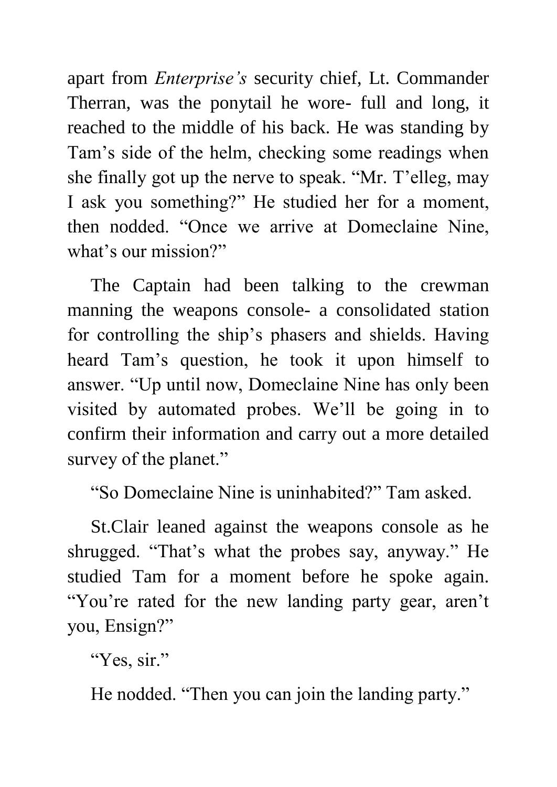apart from *Enterprise's* security chief, Lt. Commander Therran, was the ponytail he wore- full and long, it reached to the middle of his back. He was standing by Tam's side of the helm, checking some readings when she finally got up the nerve to speak. "Mr. T'elleg, may I ask you something?" He studied her for a moment, then nodded. "Once we arrive at Domeclaine Nine, what's our mission?"

 The Captain had been talking to the crewman manning the weapons console- a consolidated station for controlling the ship's phasers and shields. Having heard Tam's question, he took it upon himself to answer. "Up until now, Domeclaine Nine has only been visited by automated probes. We'll be going in to confirm their information and carry out a more detailed survey of the planet."

"So Domeclaine Nine is uninhabited?" Tam asked.

 St.Clair leaned against the weapons console as he shrugged. "That's what the probes say, anyway." He studied Tam for a moment before he spoke again. "You're rated for the new landing party gear, aren't you, Ensign?"

"Yes, sir."

He nodded. "Then you can join the landing party."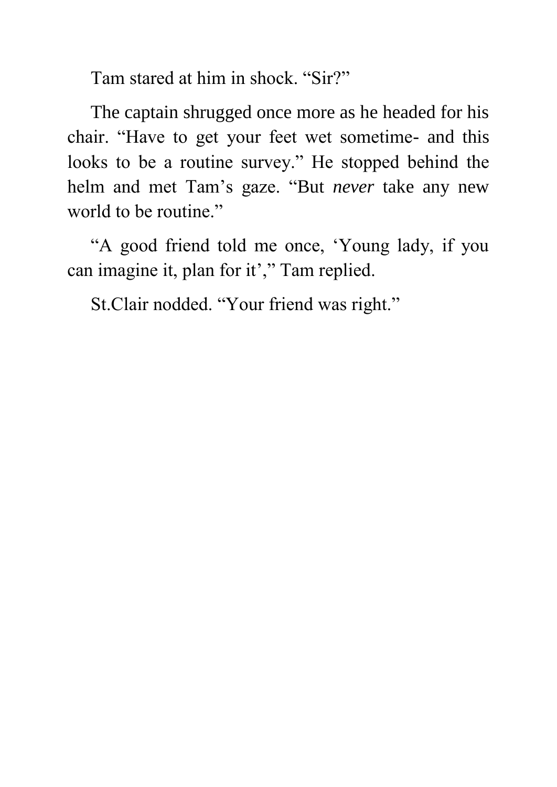Tam stared at him in shock. "Sir?"

 The captain shrugged once more as he headed for his chair. "Have to get your feet wet sometime- and this looks to be a routine survey." He stopped behind the helm and met Tam's gaze. "But *never* take any new world to be routine."

 "A good friend told me once, 'Young lady, if you can imagine it, plan for it'," Tam replied.

St.Clair nodded. "Your friend was right."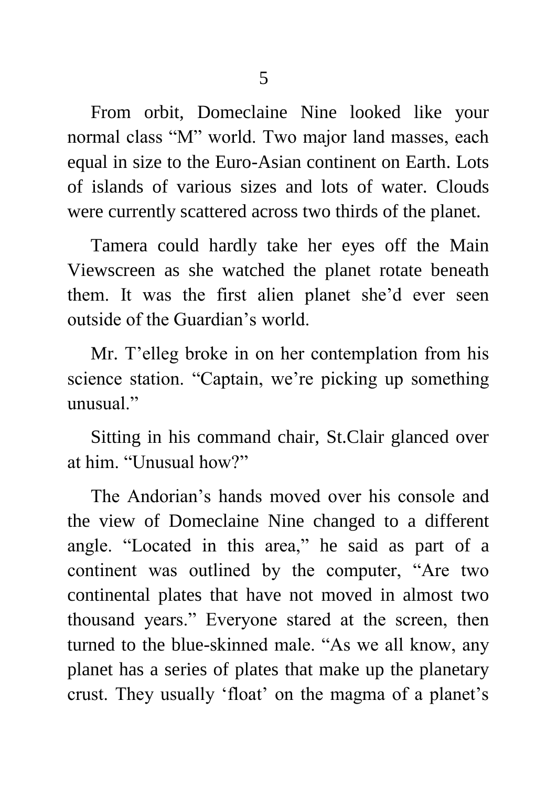From orbit, Domeclaine Nine looked like your normal class "M" world. Two major land masses, each equal in size to the Euro-Asian continent on Earth. Lots of islands of various sizes and lots of water. Clouds were currently scattered across two thirds of the planet.

 Tamera could hardly take her eyes off the Main Viewscreen as she watched the planet rotate beneath them. It was the first alien planet she'd ever seen outside of the Guardian's world.

 Mr. T'elleg broke in on her contemplation from his science station. "Captain, we're picking up something unusual."

 Sitting in his command chair, St.Clair glanced over at him. "Unusual how?"

 The Andorian's hands moved over his console and the view of Domeclaine Nine changed to a different angle. "Located in this area," he said as part of a continent was outlined by the computer, "Are two continental plates that have not moved in almost two thousand years." Everyone stared at the screen, then turned to the blue-skinned male. "As we all know, any planet has a series of plates that make up the planetary crust. They usually 'float' on the magma of a planet's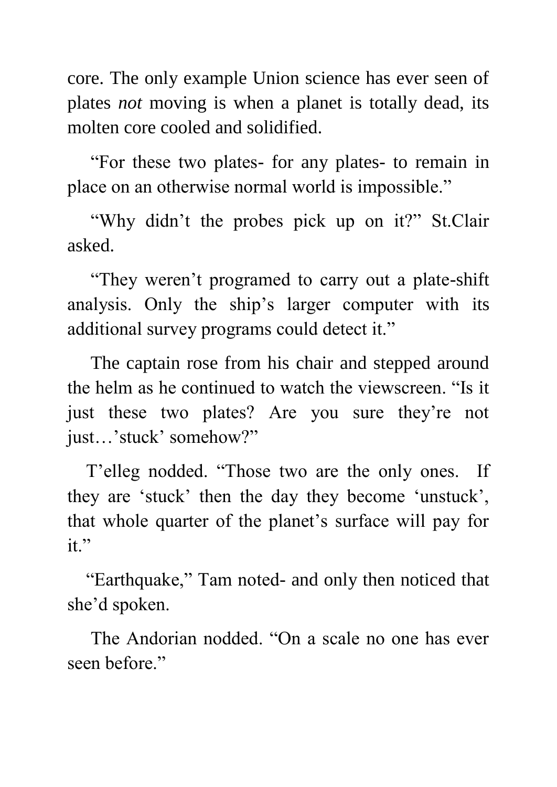core. The only example Union science has ever seen of plates *not* moving is when a planet is totally dead, its molten core cooled and solidified.

 "For these two plates- for any plates- to remain in place on an otherwise normal world is impossible."

 "Why didn't the probes pick up on it?" St.Clair asked.

 "They weren't programed to carry out a plate-shift analysis. Only the ship's larger computer with its additional survey programs could detect it."

 The captain rose from his chair and stepped around the helm as he continued to watch the viewscreen. "Is it just these two plates? Are you sure they're not just…'stuck' somehow?"

 T'elleg nodded. "Those two are the only ones. If they are 'stuck' then the day they become 'unstuck', that whole quarter of the planet's surface will pay for it."

 "Earthquake," Tam noted- and only then noticed that she'd spoken.

 The Andorian nodded. "On a scale no one has ever seen before."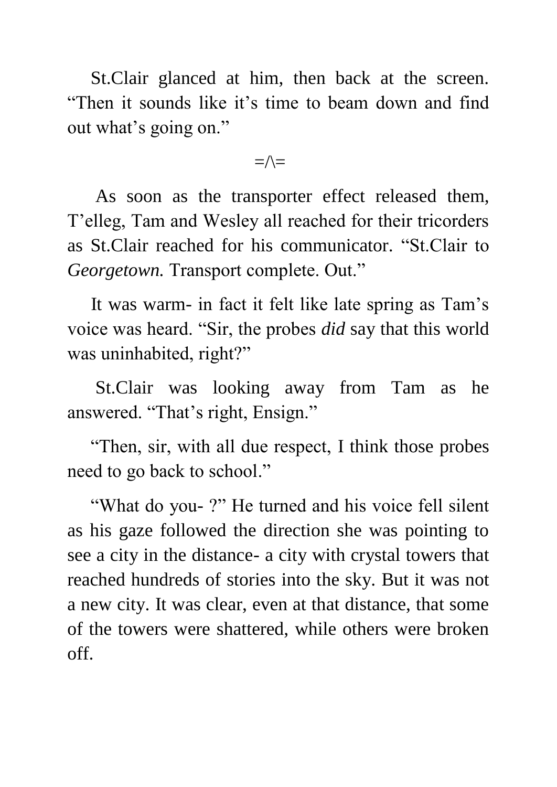St.Clair glanced at him, then back at the screen. "Then it sounds like it's time to beam down and find out what's going on."

 $=\wedge=\$ 

 As soon as the transporter effect released them, T'elleg, Tam and Wesley all reached for their tricorders as St.Clair reached for his communicator. "St.Clair to *Georgetown.* Transport complete. Out."

 It was warm- in fact it felt like late spring as Tam's voice was heard. "Sir, the probes *did* say that this world was uninhabited, right?"

 St.Clair was looking away from Tam as he answered. "That's right, Ensign."

 "Then, sir, with all due respect, I think those probes need to go back to school."

 "What do you- ?" He turned and his voice fell silent as his gaze followed the direction she was pointing to see a city in the distance- a city with crystal towers that reached hundreds of stories into the sky. But it was not a new city. It was clear, even at that distance, that some of the towers were shattered, while others were broken off.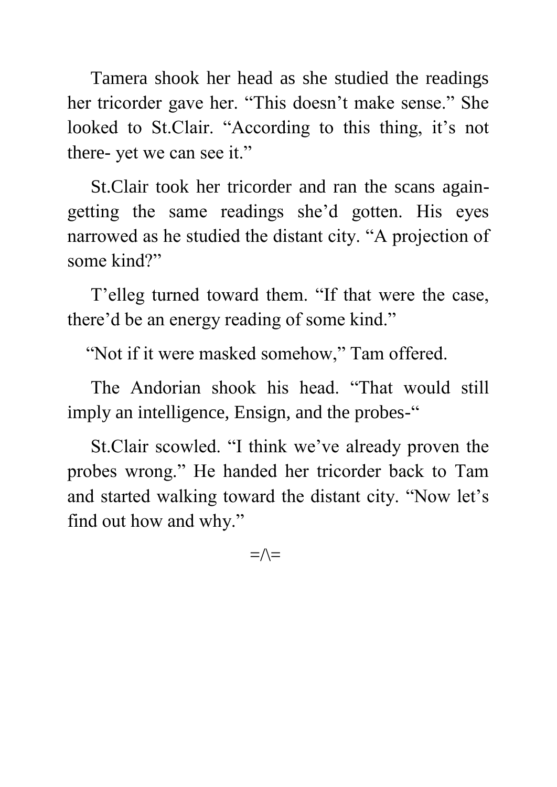Tamera shook her head as she studied the readings her tricorder gave her. "This doesn't make sense." She looked to St.Clair. "According to this thing, it's not there- yet we can see it."

 St.Clair took her tricorder and ran the scans againgetting the same readings she'd gotten. His eyes narrowed as he studied the distant city. "A projection of some kind?"

 T'elleg turned toward them. "If that were the case, there'd be an energy reading of some kind."

"Not if it were masked somehow," Tam offered.

 The Andorian shook his head. "That would still imply an intelligence, Ensign, and the probes-"

 St.Clair scowled. "I think we've already proven the probes wrong." He handed her tricorder back to Tam and started walking toward the distant city. "Now let's find out how and why."

 $=\wedge$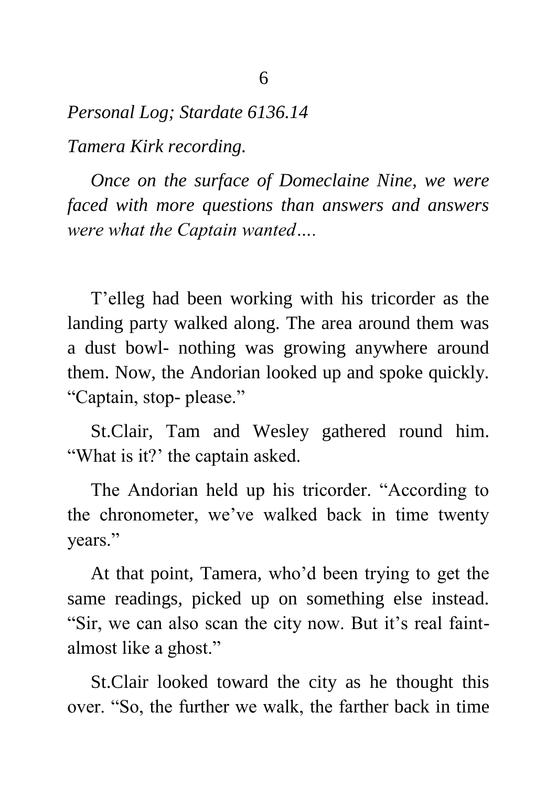*Personal Log; Stardate 6136.14 Tamera Kirk recording.*

 *Once on the surface of Domeclaine Nine, we were faced with more questions than answers and answers were what the Captain wanted….*

 T'elleg had been working with his tricorder as the landing party walked along. The area around them was a dust bowl- nothing was growing anywhere around them. Now, the Andorian looked up and spoke quickly. "Captain, stop- please."

 St.Clair, Tam and Wesley gathered round him. "What is it?" the captain asked.

 The Andorian held up his tricorder. "According to the chronometer, we've walked back in time twenty years."

 At that point, Tamera, who'd been trying to get the same readings, picked up on something else instead. "Sir, we can also scan the city now. But it's real faintalmost like a ghost."

 St.Clair looked toward the city as he thought this over. "So, the further we walk, the farther back in time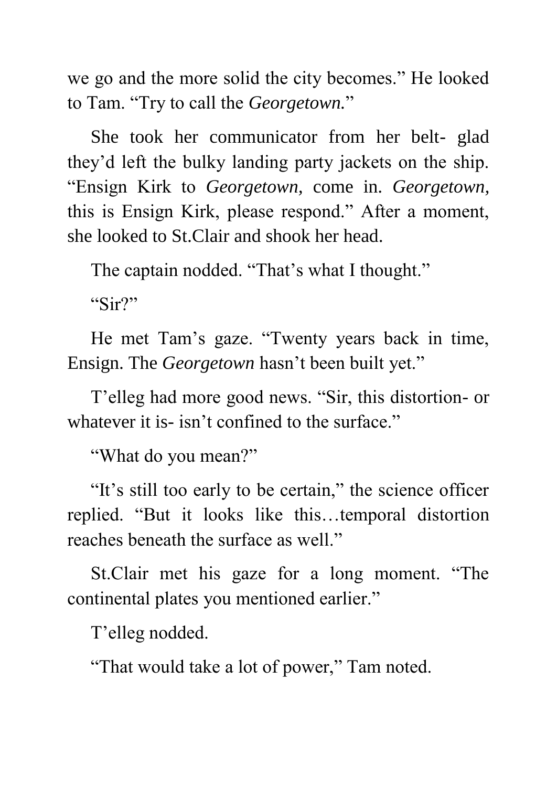we go and the more solid the city becomes." He looked to Tam. "Try to call the *Georgetown.*"

 She took her communicator from her belt- glad they'd left the bulky landing party jackets on the ship. "Ensign Kirk to *Georgetown,* come in. *Georgetown,* this is Ensign Kirk, please respond." After a moment, she looked to St.Clair and shook her head.

The captain nodded. "That's what I thought."

"Sir?"

 He met Tam's gaze. "Twenty years back in time, Ensign. The *Georgetown* hasn't been built yet."

 T'elleg had more good news. "Sir, this distortion- or whatever it is- isn't confined to the surface."

"What do you mean?"

"It's still too early to be certain," the science officer replied. "But it looks like this…temporal distortion reaches beneath the surface as well."

 St.Clair met his gaze for a long moment. "The continental plates you mentioned earlier."

T'elleg nodded.

"That would take a lot of power," Tam noted.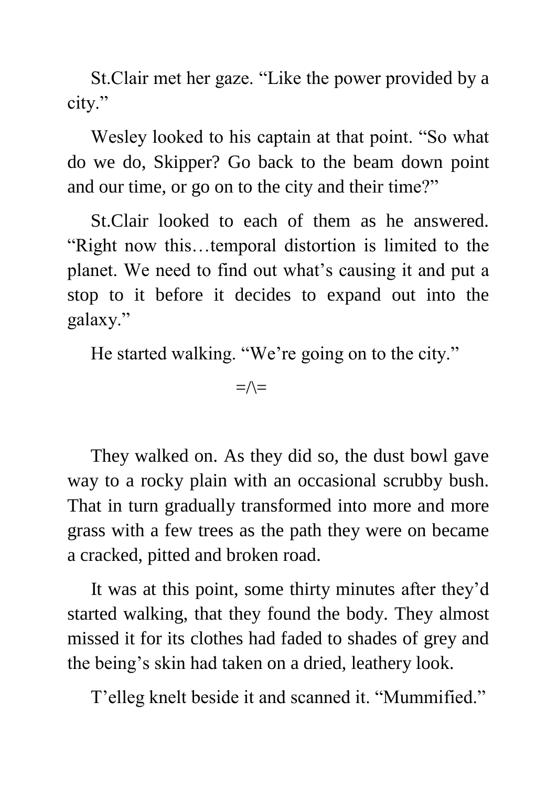St.Clair met her gaze. "Like the power provided by a city."

 Wesley looked to his captain at that point. "So what do we do, Skipper? Go back to the beam down point and our time, or go on to the city and their time?"

 St.Clair looked to each of them as he answered. "Right now this…temporal distortion is limited to the planet. We need to find out what's causing it and put a stop to it before it decides to expand out into the galaxy."

He started walking. "We're going on to the city."

 $=\wedge$ 

 They walked on. As they did so, the dust bowl gave way to a rocky plain with an occasional scrubby bush. That in turn gradually transformed into more and more grass with a few trees as the path they were on became a cracked, pitted and broken road.

 It was at this point, some thirty minutes after they'd started walking, that they found the body. They almost missed it for its clothes had faded to shades of grey and the being's skin had taken on a dried, leathery look.

T'elleg knelt beside it and scanned it. "Mummified."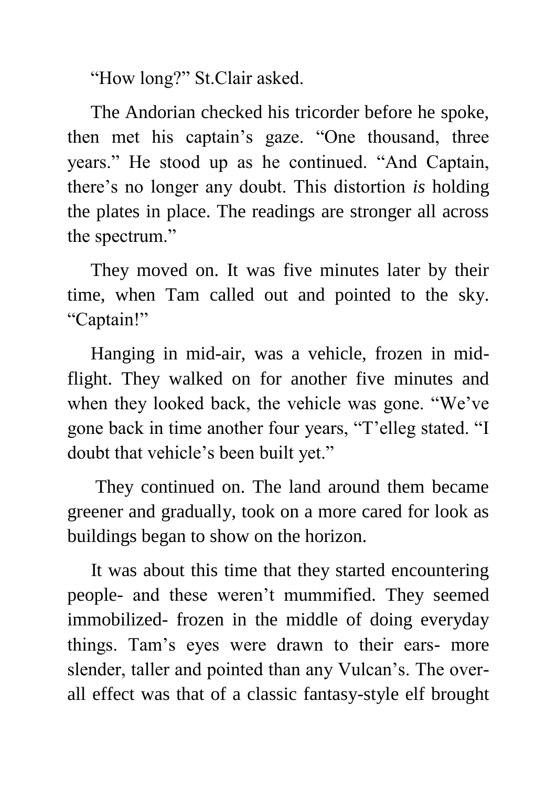"How long?" St.Clair asked.

 The Andorian checked his tricorder before he spoke, then met his captain's gaze. "One thousand, three years." He stood up as he continued. "And Captain, there's no longer any doubt. This distortion *is* holding the plates in place. The readings are stronger all across the spectrum."

 They moved on. It was five minutes later by their time, when Tam called out and pointed to the sky. "Captain!"

 Hanging in mid-air, was a vehicle, frozen in midflight. They walked on for another five minutes and when they looked back, the vehicle was gone. "We've gone back in time another four years, "T'elleg stated. "I doubt that vehicle's been built yet."

 They continued on. The land around them became greener and gradually, took on a more cared for look as buildings began to show on the horizon.

 It was about this time that they started encountering people- and these weren't mummified. They seemed immobilized- frozen in the middle of doing everyday things. Tam's eyes were drawn to their ears- more slender, taller and pointed than any Vulcan's. The overall effect was that of a classic fantasy-style elf brought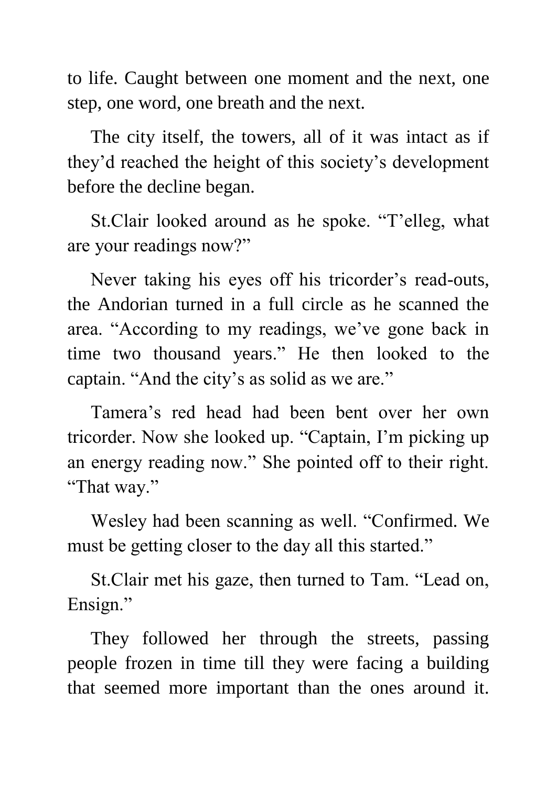to life. Caught between one moment and the next, one step, one word, one breath and the next.

 The city itself, the towers, all of it was intact as if they'd reached the height of this society's development before the decline began.

 St.Clair looked around as he spoke. "T'elleg, what are your readings now?"

 Never taking his eyes off his tricorder's read-outs, the Andorian turned in a full circle as he scanned the area. "According to my readings, we've gone back in time two thousand years." He then looked to the captain. "And the city's as solid as we are."

 Tamera's red head had been bent over her own tricorder. Now she looked up. "Captain, I'm picking up an energy reading now." She pointed off to their right. "That way."

 Wesley had been scanning as well. "Confirmed. We must be getting closer to the day all this started."

 St.Clair met his gaze, then turned to Tam. "Lead on, Ensign."

 They followed her through the streets, passing people frozen in time till they were facing a building that seemed more important than the ones around it.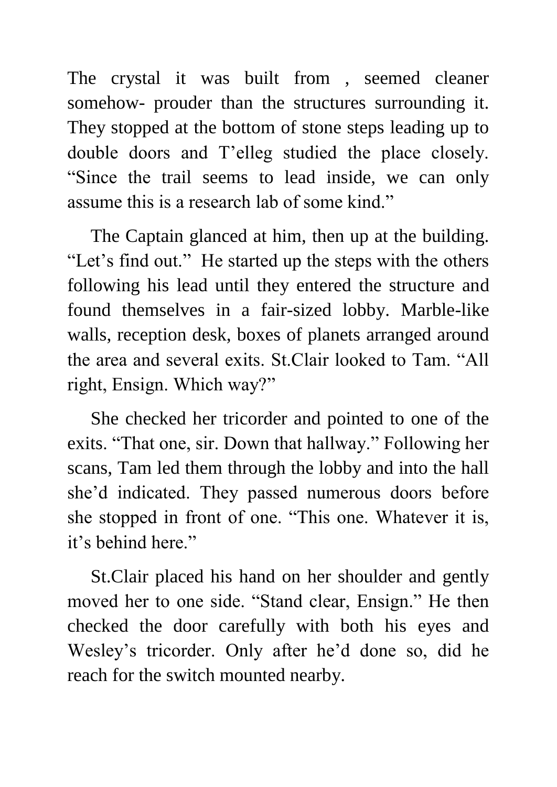The crystal it was built from , seemed cleaner somehow- prouder than the structures surrounding it. They stopped at the bottom of stone steps leading up to double doors and T'elleg studied the place closely. "Since the trail seems to lead inside, we can only assume this is a research lab of some kind."

 The Captain glanced at him, then up at the building. "Let's find out." He started up the steps with the others following his lead until they entered the structure and found themselves in a fair-sized lobby. Marble-like walls, reception desk, boxes of planets arranged around the area and several exits. St.Clair looked to Tam. "All right, Ensign. Which way?"

 She checked her tricorder and pointed to one of the exits. "That one, sir. Down that hallway." Following her scans, Tam led them through the lobby and into the hall she'd indicated. They passed numerous doors before she stopped in front of one. "This one. Whatever it is, it's behind here."

 St.Clair placed his hand on her shoulder and gently moved her to one side. "Stand clear, Ensign." He then checked the door carefully with both his eyes and Wesley's tricorder. Only after he'd done so, did he reach for the switch mounted nearby.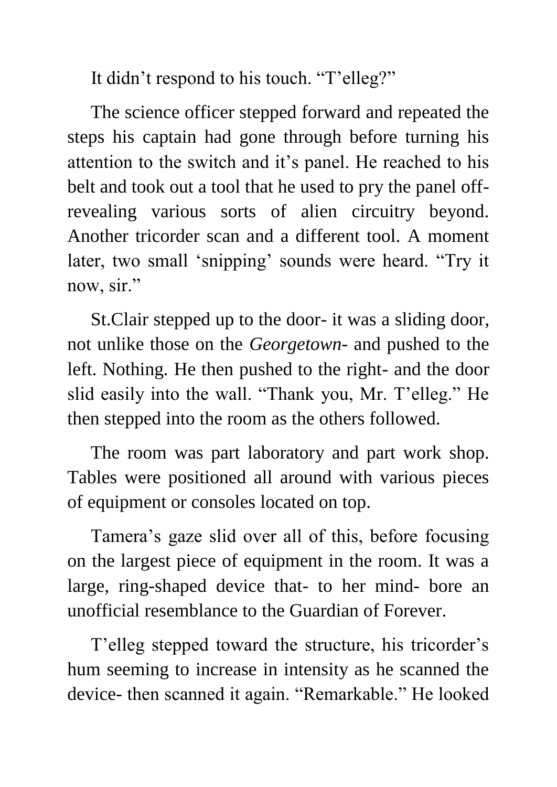It didn't respond to his touch. "T'elleg?"

 The science officer stepped forward and repeated the steps his captain had gone through before turning his attention to the switch and it's panel. He reached to his belt and took out a tool that he used to pry the panel offrevealing various sorts of alien circuitry beyond. Another tricorder scan and a different tool. A moment later, two small 'snipping' sounds were heard. "Try it now, sir."

 St.Clair stepped up to the door- it was a sliding door, not unlike those on the *Georgetown*- and pushed to the left. Nothing. He then pushed to the right- and the door slid easily into the wall. "Thank you, Mr. T'elleg." He then stepped into the room as the others followed.

 The room was part laboratory and part work shop. Tables were positioned all around with various pieces of equipment or consoles located on top.

 Tamera's gaze slid over all of this, before focusing on the largest piece of equipment in the room. It was a large, ring-shaped device that- to her mind- bore an unofficial resemblance to the Guardian of Forever.

 T'elleg stepped toward the structure, his tricorder's hum seeming to increase in intensity as he scanned the device- then scanned it again. "Remarkable." He looked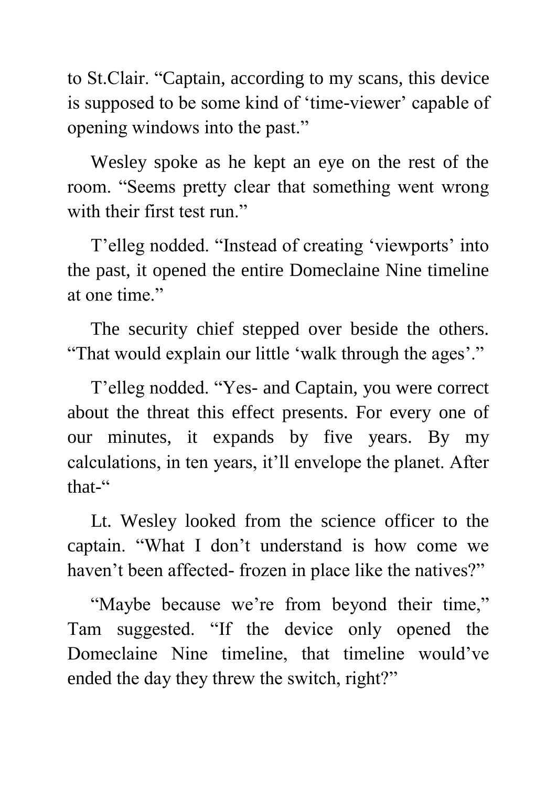to St.Clair. "Captain, according to my scans, this device is supposed to be some kind of 'time-viewer' capable of opening windows into the past."

 Wesley spoke as he kept an eye on the rest of the room. "Seems pretty clear that something went wrong with their first test run."

 T'elleg nodded. "Instead of creating 'viewports' into the past, it opened the entire Domeclaine Nine timeline at one time."

 The security chief stepped over beside the others. "That would explain our little 'walk through the ages'."

 T'elleg nodded. "Yes- and Captain, you were correct about the threat this effect presents. For every one of our minutes, it expands by five years. By my calculations, in ten years, it'll envelope the planet. After that-"

 Lt. Wesley looked from the science officer to the captain. "What I don't understand is how come we haven't been affected- frozen in place like the natives?"

"Maybe because we're from beyond their time," Tam suggested. "If the device only opened the Domeclaine Nine timeline, that timeline would've ended the day they threw the switch, right?"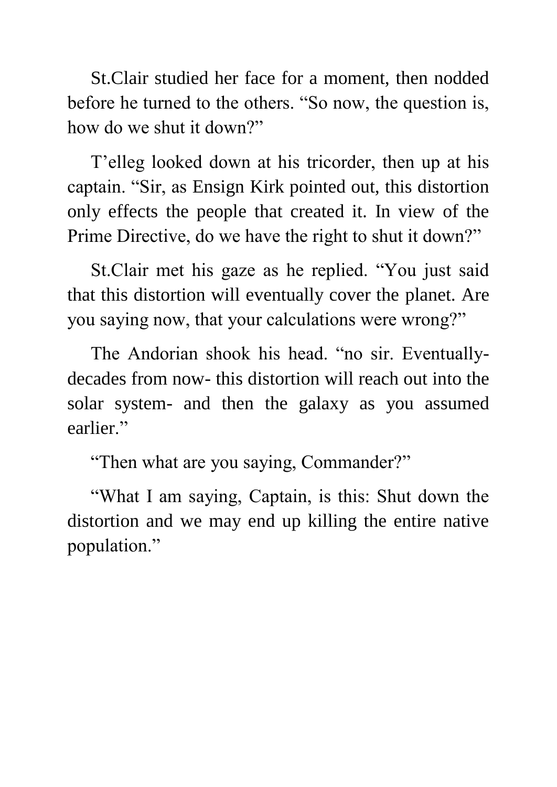St.Clair studied her face for a moment, then nodded before he turned to the others. "So now, the question is, how do we shut it down?"

 T'elleg looked down at his tricorder, then up at his captain. "Sir, as Ensign Kirk pointed out, this distortion only effects the people that created it. In view of the Prime Directive, do we have the right to shut it down?"

 St.Clair met his gaze as he replied. "You just said that this distortion will eventually cover the planet. Are you saying now, that your calculations were wrong?"

 The Andorian shook his head. "no sir. Eventuallydecades from now- this distortion will reach out into the solar system- and then the galaxy as you assumed earlier."

"Then what are you saying, Commander?"

 "What I am saying, Captain, is this: Shut down the distortion and we may end up killing the entire native population."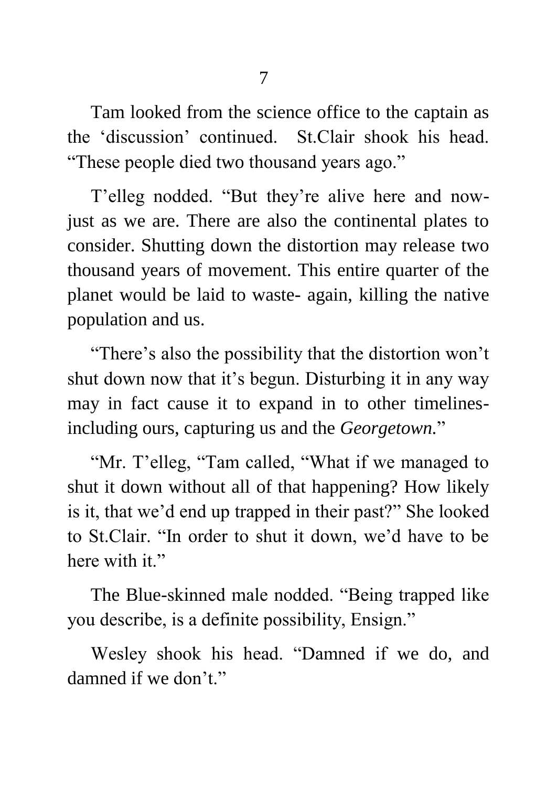7

 Tam looked from the science office to the captain as the 'discussion' continued. St.Clair shook his head. "These people died two thousand years ago."

 T'elleg nodded. "But they're alive here and nowjust as we are. There are also the continental plates to consider. Shutting down the distortion may release two thousand years of movement. This entire quarter of the planet would be laid to waste- again, killing the native population and us.

 "There's also the possibility that the distortion won't shut down now that it's begun. Disturbing it in any way may in fact cause it to expand in to other timelinesincluding ours, capturing us and the *Georgetown.*"

"Mr. T'elleg, "Tam called, "What if we managed to shut it down without all of that happening? How likely is it, that we'd end up trapped in their past?" She looked to St.Clair. "In order to shut it down, we'd have to be here with it."

 The Blue-skinned male nodded. "Being trapped like you describe, is a definite possibility, Ensign."

 Wesley shook his head. "Damned if we do, and damned if we don't."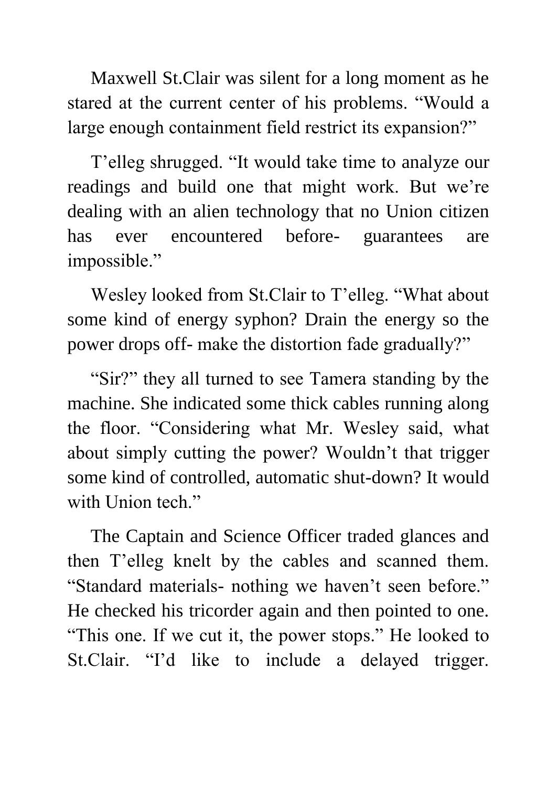Maxwell St.Clair was silent for a long moment as he stared at the current center of his problems. "Would a large enough containment field restrict its expansion?"

 T'elleg shrugged. "It would take time to analyze our readings and build one that might work. But we're dealing with an alien technology that no Union citizen has ever encountered before- guarantees are impossible."

 Wesley looked from St.Clair to T'elleg. "What about some kind of energy syphon? Drain the energy so the power drops off- make the distortion fade gradually?"

 "Sir?" they all turned to see Tamera standing by the machine. She indicated some thick cables running along the floor. "Considering what Mr. Wesley said, what about simply cutting the power? Wouldn't that trigger some kind of controlled, automatic shut-down? It would with Union tech."

 The Captain and Science Officer traded glances and then T'elleg knelt by the cables and scanned them. "Standard materials- nothing we haven't seen before." He checked his tricorder again and then pointed to one. "This one. If we cut it, the power stops." He looked to St.Clair. "I'd like to include a delayed trigger.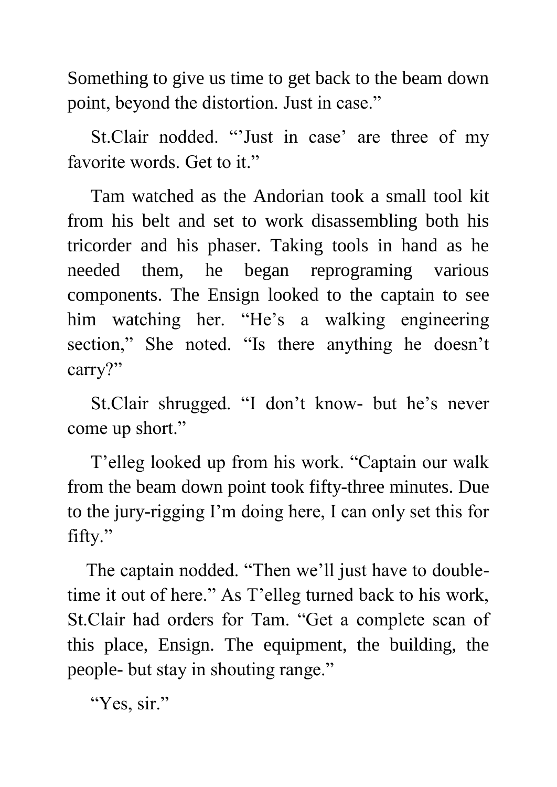Something to give us time to get back to the beam down point, beyond the distortion. Just in case."

 St.Clair nodded. "'Just in case' are three of my favorite words. Get to it."

 Tam watched as the Andorian took a small tool kit from his belt and set to work disassembling both his tricorder and his phaser. Taking tools in hand as he needed them, he began reprograming various components. The Ensign looked to the captain to see him watching her. "He's a walking engineering section," She noted. "Is there anything he doesn't carry?"

 St.Clair shrugged. "I don't know- but he's never come up short."

 T'elleg looked up from his work. "Captain our walk from the beam down point took fifty-three minutes. Due to the jury-rigging I'm doing here, I can only set this for fifty."

 The captain nodded. "Then we'll just have to doubletime it out of here." As T'elleg turned back to his work, St.Clair had orders for Tam. "Get a complete scan of this place, Ensign. The equipment, the building, the people- but stay in shouting range."

"Yes, sir."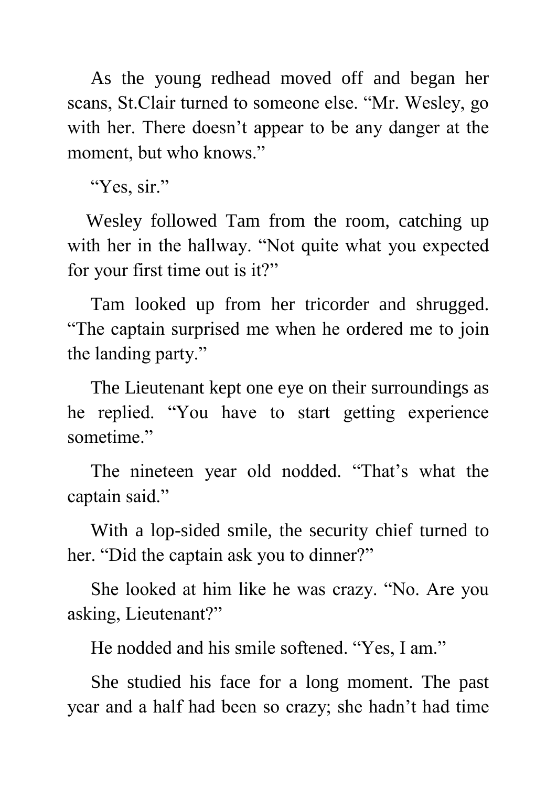As the young redhead moved off and began her scans, St.Clair turned to someone else. "Mr. Wesley, go with her. There doesn't appear to be any danger at the moment, but who knows."

"Yes, sir."

 Wesley followed Tam from the room, catching up with her in the hallway. "Not quite what you expected for your first time out is it?"

 Tam looked up from her tricorder and shrugged. "The captain surprised me when he ordered me to join the landing party."

 The Lieutenant kept one eye on their surroundings as he replied. "You have to start getting experience sometime."

 The nineteen year old nodded. "That's what the captain said."

 With a lop-sided smile, the security chief turned to her. "Did the captain ask you to dinner?"

 She looked at him like he was crazy. "No. Are you asking, Lieutenant?"

He nodded and his smile softened. "Yes, I am."

 She studied his face for a long moment. The past year and a half had been so crazy; she hadn't had time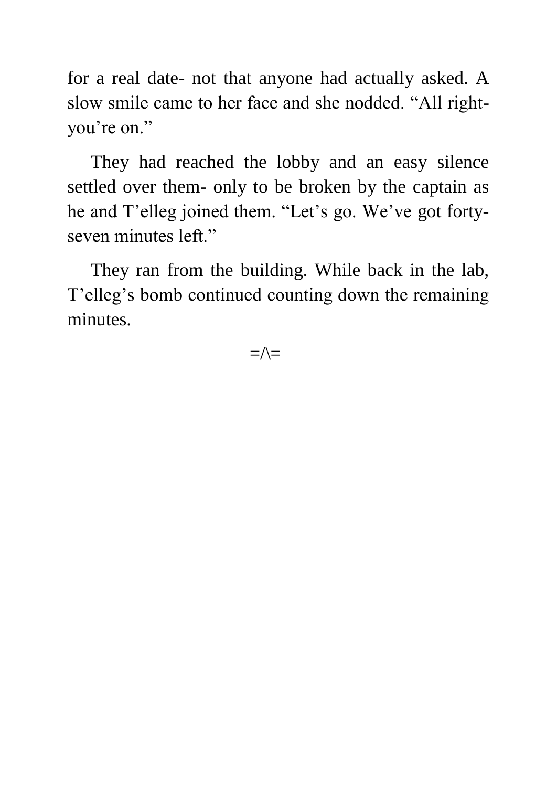for a real date- not that anyone had actually asked. A slow smile came to her face and she nodded. "All rightyou're on."

 They had reached the lobby and an easy silence settled over them- only to be broken by the captain as he and T'elleg joined them. "Let's go. We've got fortyseven minutes left."

 They ran from the building. While back in the lab, T'elleg's bomb continued counting down the remaining minutes.

 $=\wedge$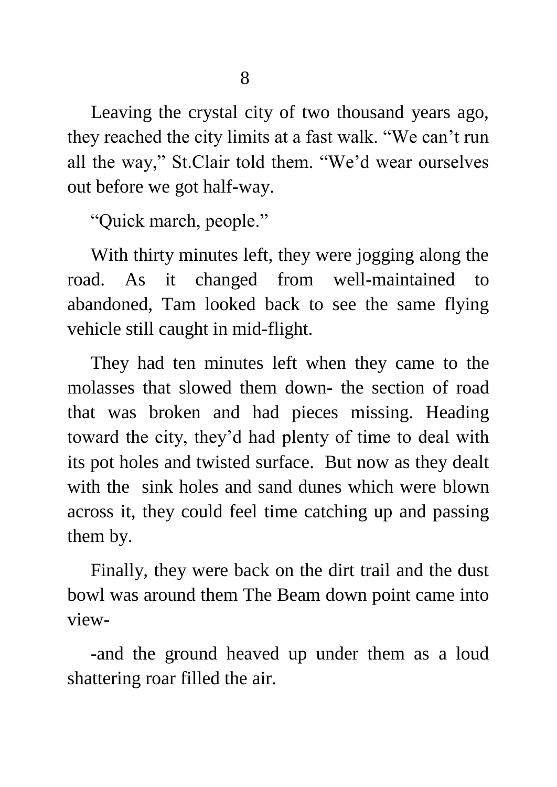Leaving the crystal city of two thousand years ago, they reached the city limits at a fast walk. "We can't run all the way," St.Clair told them. "We'd wear ourselves out before we got half-way.

"Quick march, people."

 With thirty minutes left, they were jogging along the road. As it changed from well-maintained to abandoned, Tam looked back to see the same flying vehicle still caught in mid-flight.

 They had ten minutes left when they came to the molasses that slowed them down- the section of road that was broken and had pieces missing. Heading toward the city, they'd had plenty of time to deal with its pot holes and twisted surface. But now as they dealt with the sink holes and sand dunes which were blown across it, they could feel time catching up and passing them by.

 Finally, they were back on the dirt trail and the dust bowl was around them The Beam down point came into view-

 -and the ground heaved up under them as a loud shattering roar filled the air.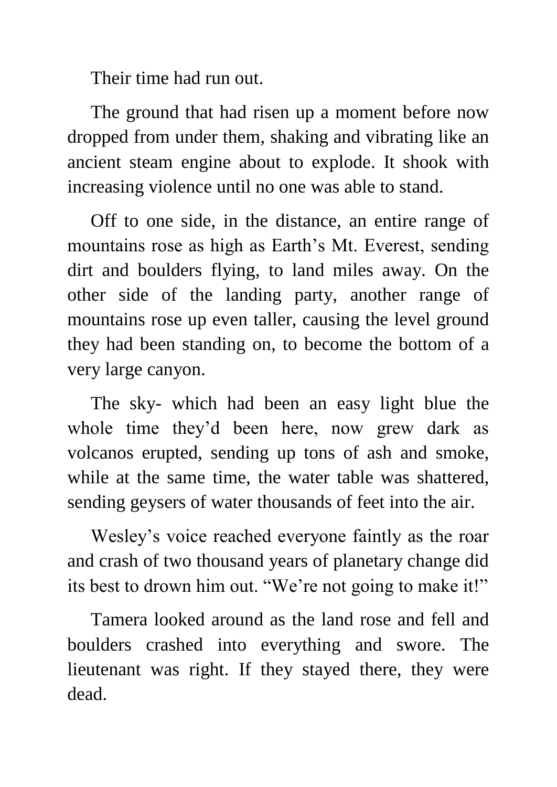Their time had run out.

 The ground that had risen up a moment before now dropped from under them, shaking and vibrating like an ancient steam engine about to explode. It shook with increasing violence until no one was able to stand.

 Off to one side, in the distance, an entire range of mountains rose as high as Earth's Mt. Everest, sending dirt and boulders flying, to land miles away. On the other side of the landing party, another range of mountains rose up even taller, causing the level ground they had been standing on, to become the bottom of a very large canyon.

 The sky- which had been an easy light blue the whole time they'd been here, now grew dark as volcanos erupted, sending up tons of ash and smoke, while at the same time, the water table was shattered, sending geysers of water thousands of feet into the air.

 Wesley's voice reached everyone faintly as the roar and crash of two thousand years of planetary change did its best to drown him out. "We're not going to make it!"

 Tamera looked around as the land rose and fell and boulders crashed into everything and swore. The lieutenant was right. If they stayed there, they were dead.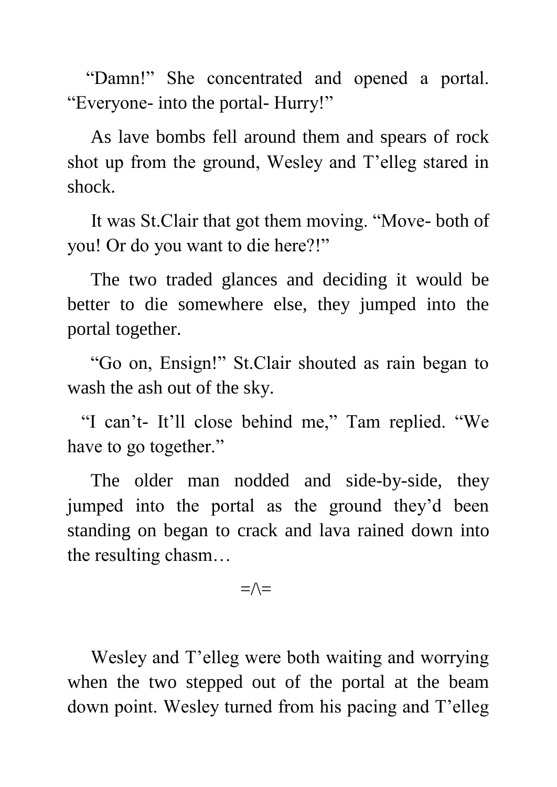"Damn!" She concentrated and opened a portal. "Everyone- into the portal- Hurry!"

 As lave bombs fell around them and spears of rock shot up from the ground, Wesley and T'elleg stared in shock.

 It was St.Clair that got them moving. "Move- both of you! Or do you want to die here?!"

 The two traded glances and deciding it would be better to die somewhere else, they jumped into the portal together.

 "Go on, Ensign!" St.Clair shouted as rain began to wash the ash out of the sky.

 "I can't- It'll close behind me," Tam replied. "We have to go together."

 The older man nodded and side-by-side, they jumped into the portal as the ground they'd been standing on began to crack and lava rained down into the resulting chasm…

 $=\wedge$ 

 Wesley and T'elleg were both waiting and worrying when the two stepped out of the portal at the beam down point. Wesley turned from his pacing and T'elleg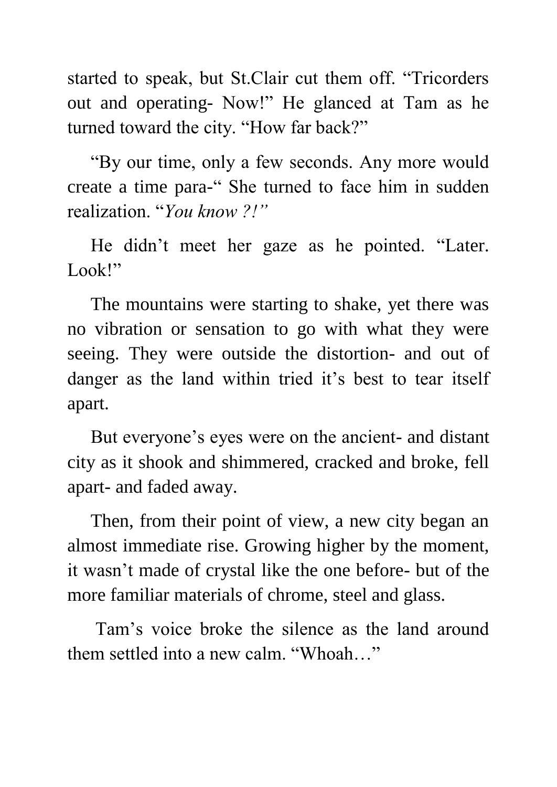started to speak, but St.Clair cut them off. "Tricorders out and operating- Now!" He glanced at Tam as he turned toward the city. "How far back?"

 "By our time, only a few seconds. Any more would create a time para-" She turned to face him in sudden realization. "*You know ?!"*

 He didn't meet her gaze as he pointed. "Later. Look!"

 The mountains were starting to shake, yet there was no vibration or sensation to go with what they were seeing. They were outside the distortion- and out of danger as the land within tried it's best to tear itself apart.

 But everyone's eyes were on the ancient- and distant city as it shook and shimmered, cracked and broke, fell apart- and faded away.

 Then, from their point of view, a new city began an almost immediate rise. Growing higher by the moment, it wasn't made of crystal like the one before- but of the more familiar materials of chrome, steel and glass.

 Tam's voice broke the silence as the land around them settled into a new calm. "Whoah…"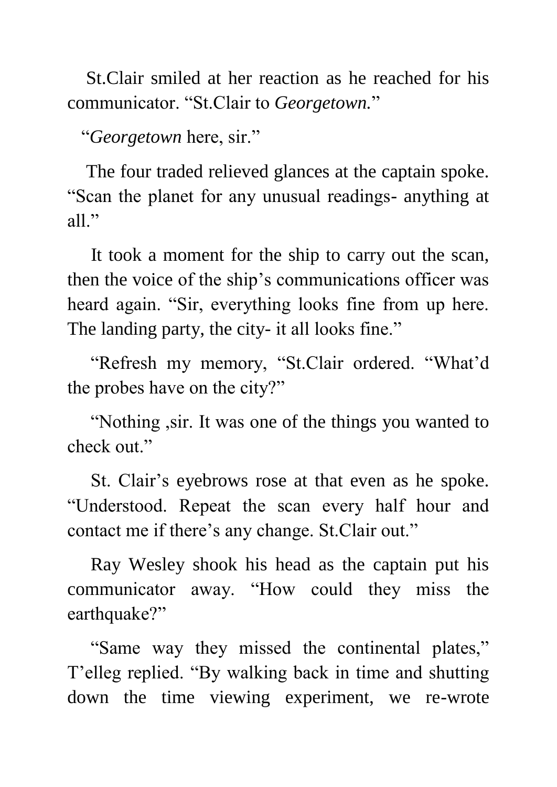St.Clair smiled at her reaction as he reached for his communicator. "St.Clair to *Georgetown.*"

"*Georgetown* here, sir."

 The four traded relieved glances at the captain spoke. "Scan the planet for any unusual readings- anything at all."

 It took a moment for the ship to carry out the scan, then the voice of the ship's communications officer was heard again. "Sir, everything looks fine from up here. The landing party, the city- it all looks fine."

 "Refresh my memory, "St.Clair ordered. "What'd the probes have on the city?"

 "Nothing ,sir. It was one of the things you wanted to check out."

 St. Clair's eyebrows rose at that even as he spoke. "Understood. Repeat the scan every half hour and contact me if there's any change. St.Clair out."

 Ray Wesley shook his head as the captain put his communicator away. "How could they miss the earthquake?"

 "Same way they missed the continental plates," T'elleg replied. "By walking back in time and shutting down the time viewing experiment, we re-wrote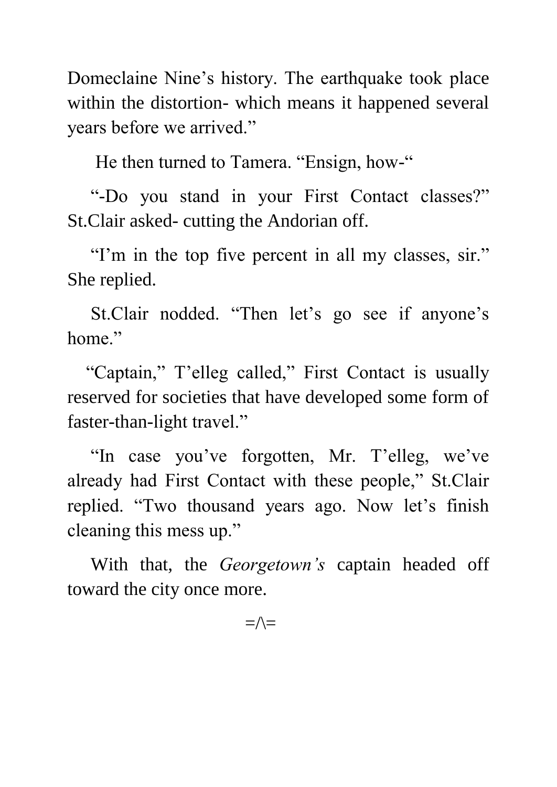Domeclaine Nine's history. The earthquake took place within the distortion- which means it happened several years before we arrived."

He then turned to Tamera. "Ensign, how-"

 "-Do you stand in your First Contact classes?" St.Clair asked- cutting the Andorian off.

"I'm in the top five percent in all my classes, sir." She replied.

 St.Clair nodded. "Then let's go see if anyone's home."

 "Captain," T'elleg called," First Contact is usually reserved for societies that have developed some form of faster-than-light travel."

 "In case you've forgotten, Mr. T'elleg, we've already had First Contact with these people," St.Clair replied. "Two thousand years ago. Now let's finish cleaning this mess up."

 With that, the *Georgetown's* captain headed off toward the city once more.

 $=\wedge=$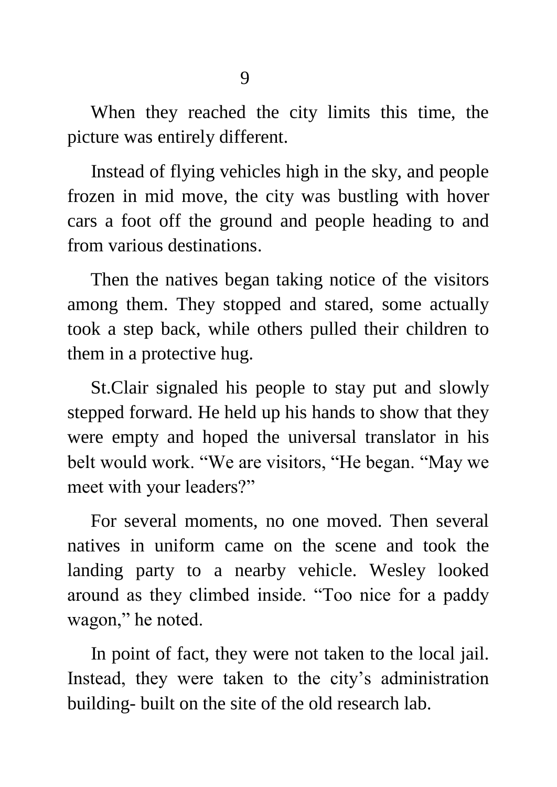When they reached the city limits this time, the picture was entirely different.

 Instead of flying vehicles high in the sky, and people frozen in mid move, the city was bustling with hover cars a foot off the ground and people heading to and from various destinations.

 Then the natives began taking notice of the visitors among them. They stopped and stared, some actually took a step back, while others pulled their children to them in a protective hug.

 St.Clair signaled his people to stay put and slowly stepped forward. He held up his hands to show that they were empty and hoped the universal translator in his belt would work. "We are visitors, "He began. "May we meet with your leaders?"

 For several moments, no one moved. Then several natives in uniform came on the scene and took the landing party to a nearby vehicle. Wesley looked around as they climbed inside. "Too nice for a paddy wagon," he noted.

 In point of fact, they were not taken to the local jail. Instead, they were taken to the city's administration building- built on the site of the old research lab.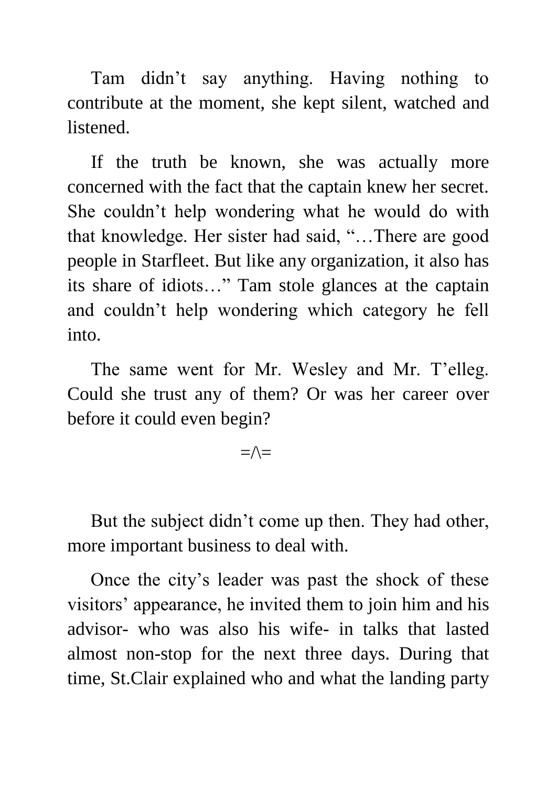Tam didn't say anything. Having nothing to contribute at the moment, she kept silent, watched and listened.

 If the truth be known, she was actually more concerned with the fact that the captain knew her secret. She couldn't help wondering what he would do with that knowledge. Her sister had said, "…There are good people in Starfleet. But like any organization, it also has its share of idiots…" Tam stole glances at the captain and couldn't help wondering which category he fell into.

 The same went for Mr. Wesley and Mr. T'elleg. Could she trust any of them? Or was her career over before it could even begin?

 $=\wedge=$ 

 But the subject didn't come up then. They had other, more important business to deal with.

 Once the city's leader was past the shock of these visitors' appearance, he invited them to join him and his advisor- who was also his wife- in talks that lasted almost non-stop for the next three days. During that time, St.Clair explained who and what the landing party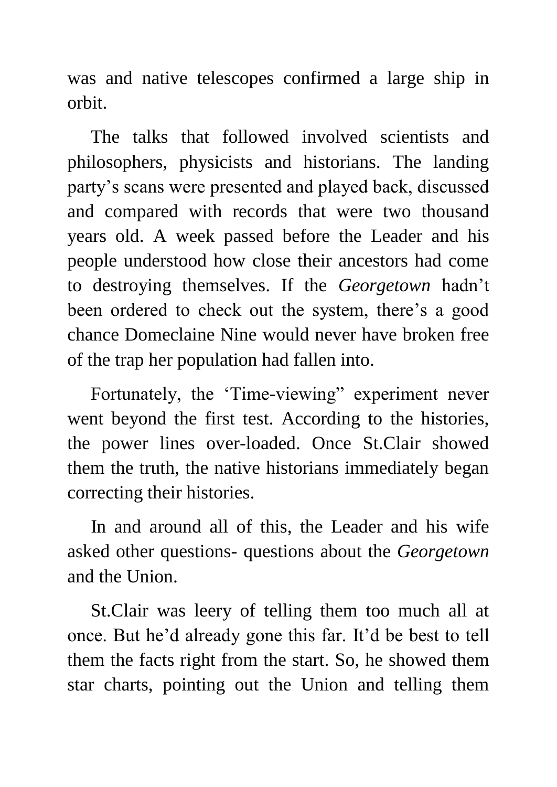was and native telescopes confirmed a large ship in orbit.

 The talks that followed involved scientists and philosophers, physicists and historians. The landing party's scans were presented and played back, discussed and compared with records that were two thousand years old. A week passed before the Leader and his people understood how close their ancestors had come to destroying themselves. If the *Georgetown* hadn't been ordered to check out the system, there's a good chance Domeclaine Nine would never have broken free of the trap her population had fallen into.

 Fortunately, the 'Time-viewing" experiment never went beyond the first test. According to the histories, the power lines over-loaded. Once St.Clair showed them the truth, the native historians immediately began correcting their histories.

 In and around all of this, the Leader and his wife asked other questions- questions about the *Georgetown* and the Union.

 St.Clair was leery of telling them too much all at once. But he'd already gone this far. It'd be best to tell them the facts right from the start. So, he showed them star charts, pointing out the Union and telling them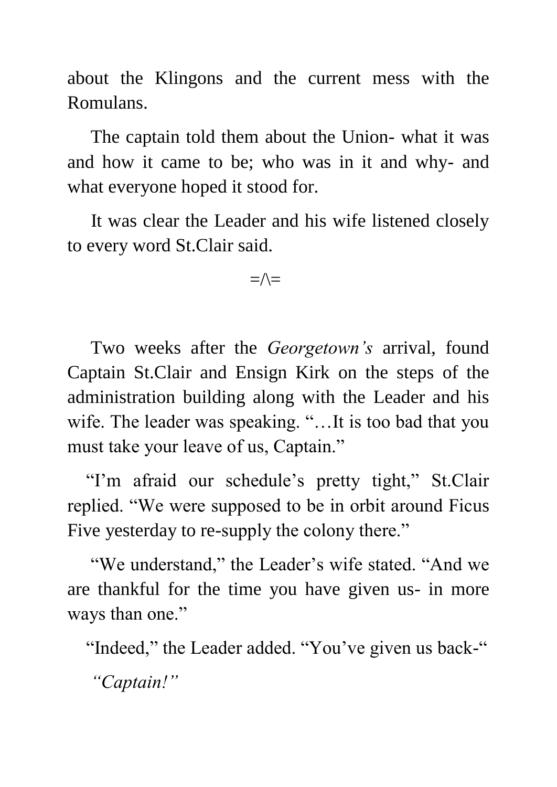about the Klingons and the current mess with the Romulans.

 The captain told them about the Union- what it was and how it came to be; who was in it and why- and what everyone hoped it stood for.

 It was clear the Leader and his wife listened closely to every word St.Clair said.

 $=\wedge=$ 

 Two weeks after the *Georgetown's* arrival, found Captain St.Clair and Ensign Kirk on the steps of the administration building along with the Leader and his wife. The leader was speaking. "... It is too bad that you must take your leave of us, Captain."

 "I'm afraid our schedule's pretty tight," St.Clair replied. "We were supposed to be in orbit around Ficus Five yesterday to re-supply the colony there."

 "We understand," the Leader's wife stated. "And we are thankful for the time you have given us- in more ways than one."

"Indeed," the Leader added. "You've given us back-"

*"Captain!"*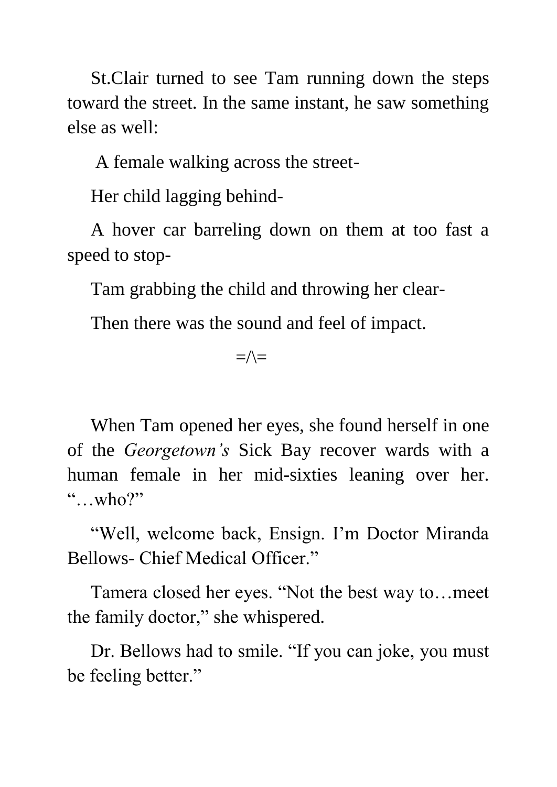St.Clair turned to see Tam running down the steps toward the street. In the same instant, he saw something else as well:

A female walking across the street-

Her child lagging behind-

 A hover car barreling down on them at too fast a speed to stop-

Tam grabbing the child and throwing her clear-

Then there was the sound and feel of impact.

 $=\wedge=\$ 

 When Tam opened her eyes, she found herself in one of the *Georgetown's* Sick Bay recover wards with a human female in her mid-sixties leaning over her. "…who?"

 "Well, welcome back, Ensign. I'm Doctor Miranda Bellows- Chief Medical Officer."

 Tamera closed her eyes. "Not the best way to…meet the family doctor," she whispered.

 Dr. Bellows had to smile. "If you can joke, you must be feeling better."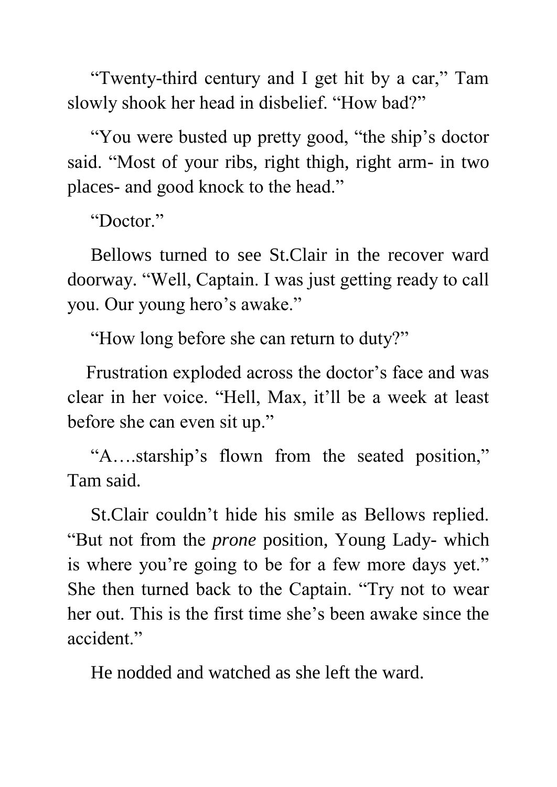"Twenty-third century and I get hit by a car," Tam slowly shook her head in disbelief. "How bad?"

 "You were busted up pretty good, "the ship's doctor said. "Most of your ribs, right thigh, right arm- in two places- and good knock to the head."

"Doctor."

 Bellows turned to see St.Clair in the recover ward doorway. "Well, Captain. I was just getting ready to call you. Our young hero's awake."

"How long before she can return to duty?"

 Frustration exploded across the doctor's face and was clear in her voice. "Hell, Max, it'll be a week at least before she can even sit up."

 "A….starship's flown from the seated position," Tam said.

 St.Clair couldn't hide his smile as Bellows replied. "But not from the *prone* position, Young Lady- which is where you're going to be for a few more days yet." She then turned back to the Captain. "Try not to wear her out. This is the first time she's been awake since the accident."

He nodded and watched as she left the ward.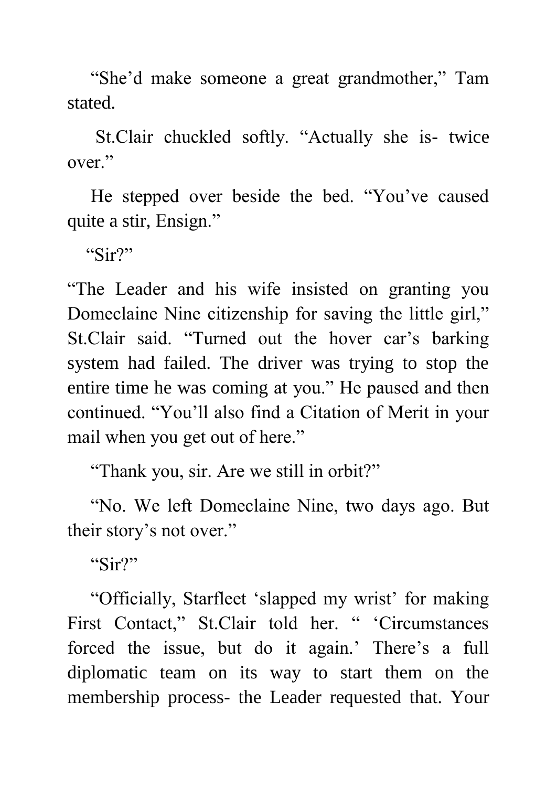"She'd make someone a great grandmother," Tam stated.

 St.Clair chuckled softly. "Actually she is- twice over."

 He stepped over beside the bed. "You've caused quite a stir, Ensign."

"Sir?"

"The Leader and his wife insisted on granting you Domeclaine Nine citizenship for saving the little girl," St.Clair said. "Turned out the hover car's barking system had failed. The driver was trying to stop the entire time he was coming at you." He paused and then continued. "You'll also find a Citation of Merit in your mail when you get out of here."

"Thank you, sir. Are we still in orbit?"

 "No. We left Domeclaine Nine, two days ago. But their story's not over."

"Sir?"

 "Officially, Starfleet 'slapped my wrist' for making First Contact," St.Clair told her. " 'Circumstances forced the issue, but do it again.' There's a full diplomatic team on its way to start them on the membership process- the Leader requested that. Your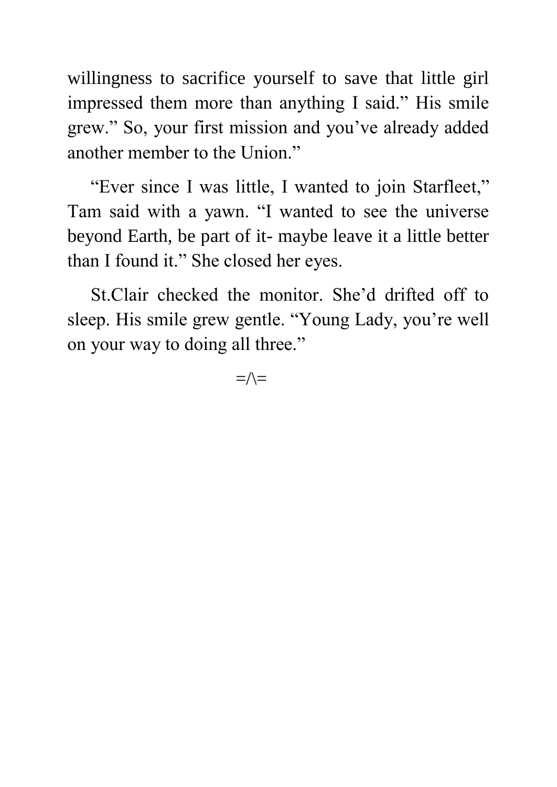willingness to sacrifice yourself to save that little girl impressed them more than anything I said." His smile grew." So, your first mission and you've already added another member to the Union."

 "Ever since I was little, I wanted to join Starfleet," Tam said with a yawn. "I wanted to see the universe beyond Earth, be part of it- maybe leave it a little better than I found it." She closed her eyes.

 St.Clair checked the monitor. She'd drifted off to sleep. His smile grew gentle. "Young Lady, you're well on your way to doing all three."

 $=\wedge=$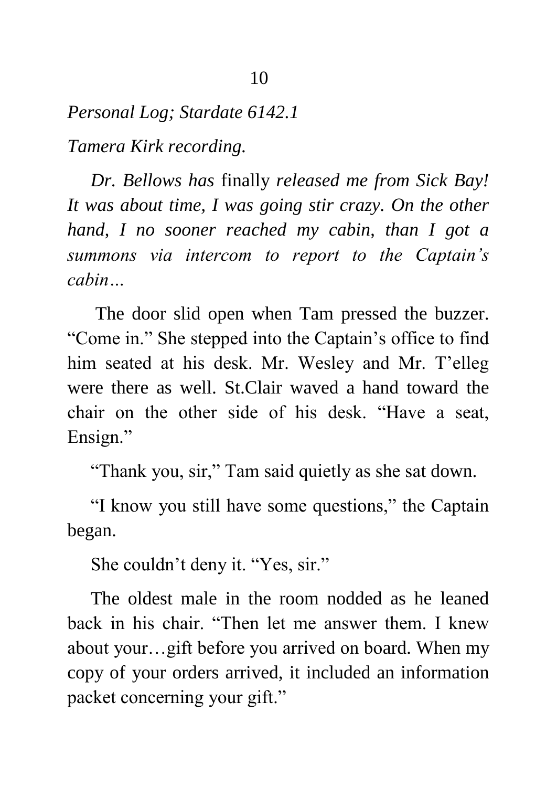*Personal Log; Stardate 6142.1*

*Tamera Kirk recording.*

 *Dr. Bellows has* finally *released me from Sick Bay! It was about time, I was going stir crazy. On the other hand, I no sooner reached my cabin, than I got a summons via intercom to report to the Captain's cabin…*

 The door slid open when Tam pressed the buzzer. "Come in." She stepped into the Captain's office to find him seated at his desk. Mr. Wesley and Mr. T'elleg were there as well. St.Clair waved a hand toward the chair on the other side of his desk. "Have a seat, Ensign."

"Thank you, sir," Tam said quietly as she sat down.

 "I know you still have some questions," the Captain began.

She couldn't deny it. "Yes, sir."

 The oldest male in the room nodded as he leaned back in his chair. "Then let me answer them. I knew about your…gift before you arrived on board. When my copy of your orders arrived, it included an information packet concerning your gift."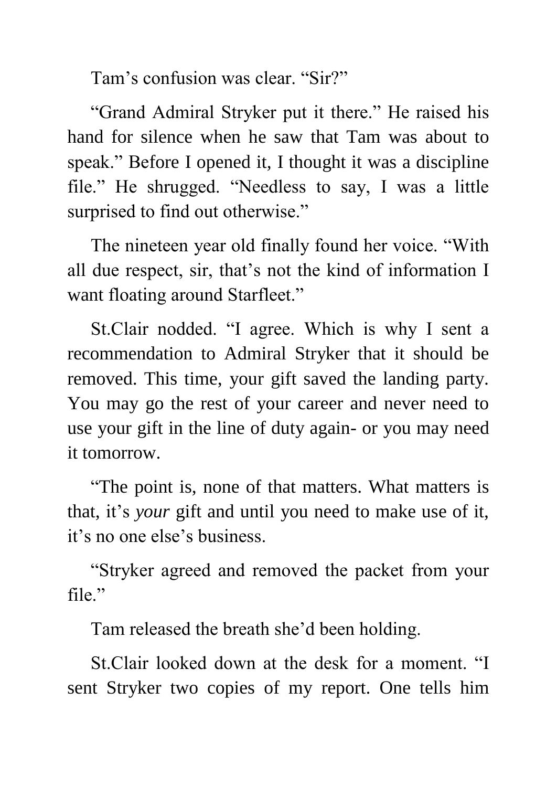Tam's confusion was clear. "Sir?"

 "Grand Admiral Stryker put it there." He raised his hand for silence when he saw that Tam was about to speak." Before I opened it, I thought it was a discipline file." He shrugged. "Needless to say, I was a little surprised to find out otherwise."

 The nineteen year old finally found her voice. "With all due respect, sir, that's not the kind of information I want floating around Starfleet."

 St.Clair nodded. "I agree. Which is why I sent a recommendation to Admiral Stryker that it should be removed. This time, your gift saved the landing party. You may go the rest of your career and never need to use your gift in the line of duty again- or you may need it tomorrow.

 "The point is, none of that matters. What matters is that, it's *your* gift and until you need to make use of it, it's no one else's business.

 "Stryker agreed and removed the packet from your file."

Tam released the breath she'd been holding.

 St.Clair looked down at the desk for a moment. "I sent Stryker two copies of my report. One tells him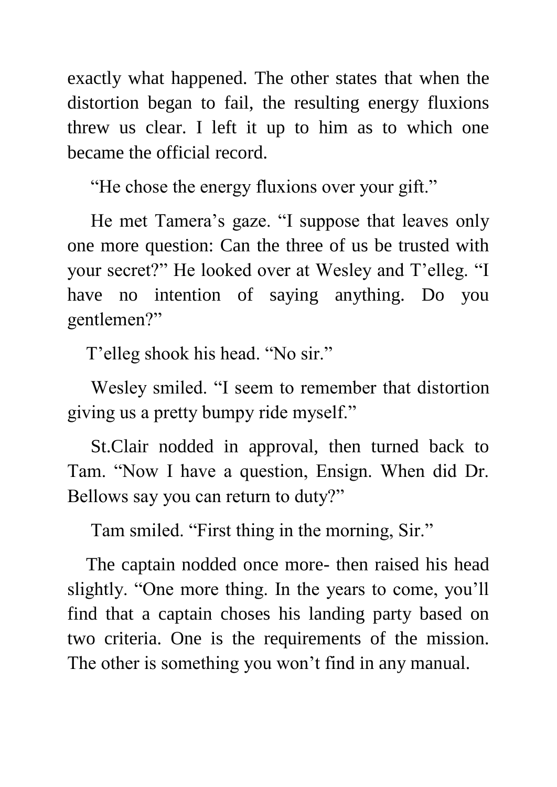exactly what happened. The other states that when the distortion began to fail, the resulting energy fluxions threw us clear. I left it up to him as to which one became the official record.

"He chose the energy fluxions over your gift."

 He met Tamera's gaze. "I suppose that leaves only one more question: Can the three of us be trusted with your secret?" He looked over at Wesley and T'elleg. "I have no intention of saying anything. Do you gentlemen?"

T'elleg shook his head. "No sir."

 Wesley smiled. "I seem to remember that distortion giving us a pretty bumpy ride myself."

 St.Clair nodded in approval, then turned back to Tam. "Now I have a question, Ensign. When did Dr. Bellows say you can return to duty?"

Tam smiled. "First thing in the morning, Sir."

 The captain nodded once more- then raised his head slightly. "One more thing. In the years to come, you'll find that a captain choses his landing party based on two criteria. One is the requirements of the mission. The other is something you won't find in any manual.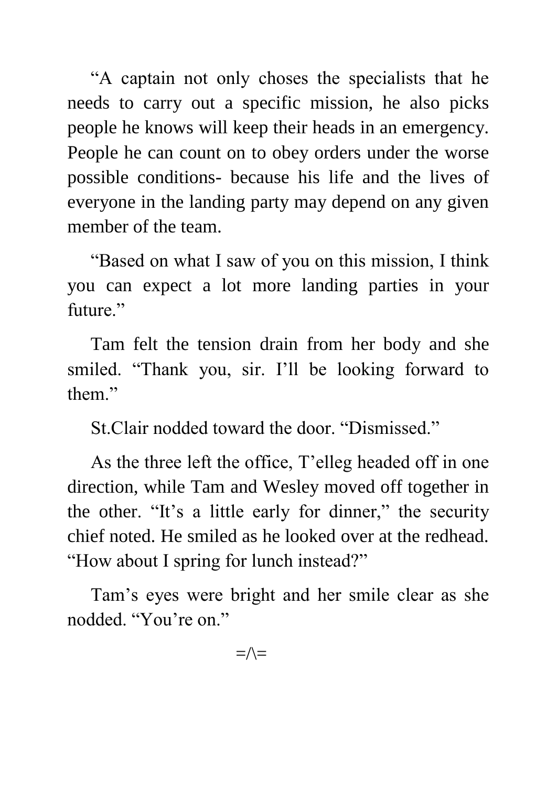"A captain not only choses the specialists that he needs to carry out a specific mission, he also picks people he knows will keep their heads in an emergency. People he can count on to obey orders under the worse possible conditions- because his life and the lives of everyone in the landing party may depend on any given member of the team.

 "Based on what I saw of you on this mission, I think you can expect a lot more landing parties in your future."

 Tam felt the tension drain from her body and she smiled. "Thank you, sir. I'll be looking forward to them."

St.Clair nodded toward the door. "Dismissed."

 As the three left the office, T'elleg headed off in one direction, while Tam and Wesley moved off together in the other. "It's a little early for dinner," the security chief noted. He smiled as he looked over at the redhead. "How about I spring for lunch instead?"

 Tam's eyes were bright and her smile clear as she nodded. "You're on."

 $=\wedge$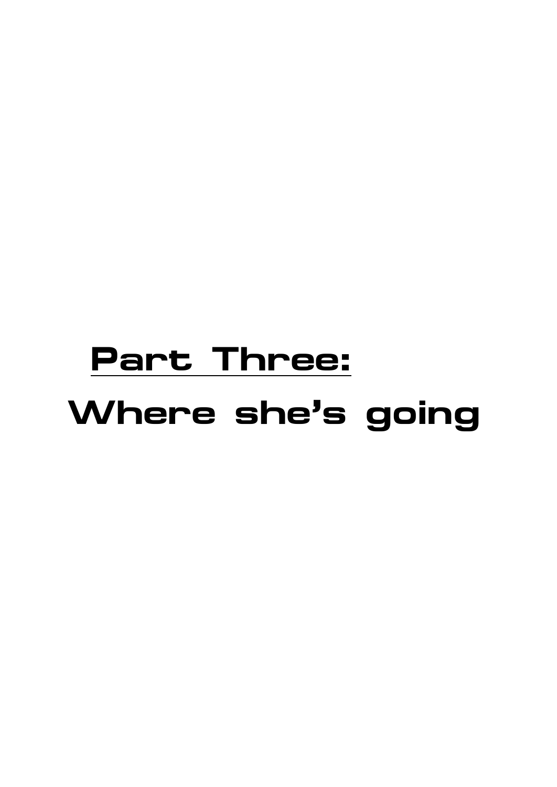## **Part Three: Where she's going**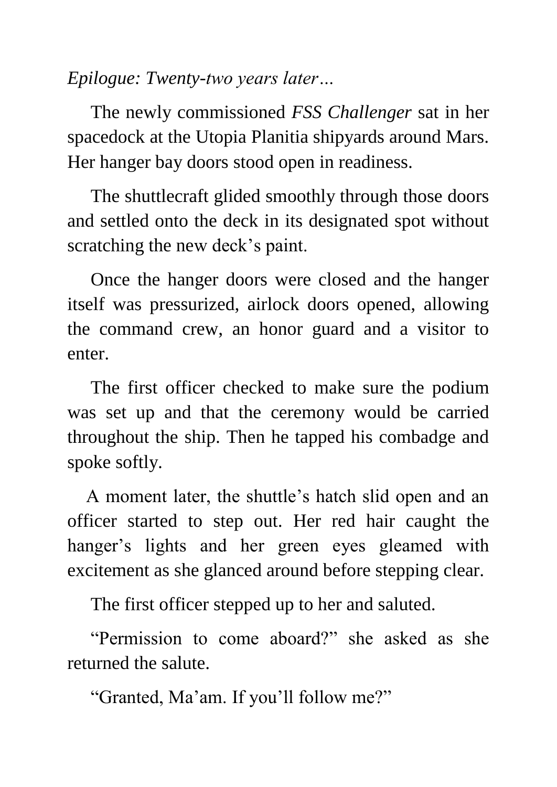*Epilogue: Twenty-two years later…*

 The newly commissioned *FSS Challenger* sat in her spacedock at the Utopia Planitia shipyards around Mars. Her hanger bay doors stood open in readiness.

 The shuttlecraft glided smoothly through those doors and settled onto the deck in its designated spot without scratching the new deck's paint.

 Once the hanger doors were closed and the hanger itself was pressurized, airlock doors opened, allowing the command crew, an honor guard and a visitor to enter.

 The first officer checked to make sure the podium was set up and that the ceremony would be carried throughout the ship. Then he tapped his combadge and spoke softly.

 A moment later, the shuttle's hatch slid open and an officer started to step out. Her red hair caught the hanger's lights and her green eyes gleamed with excitement as she glanced around before stepping clear.

The first officer stepped up to her and saluted.

 "Permission to come aboard?" she asked as she returned the salute.

"Granted, Ma'am. If you'll follow me?"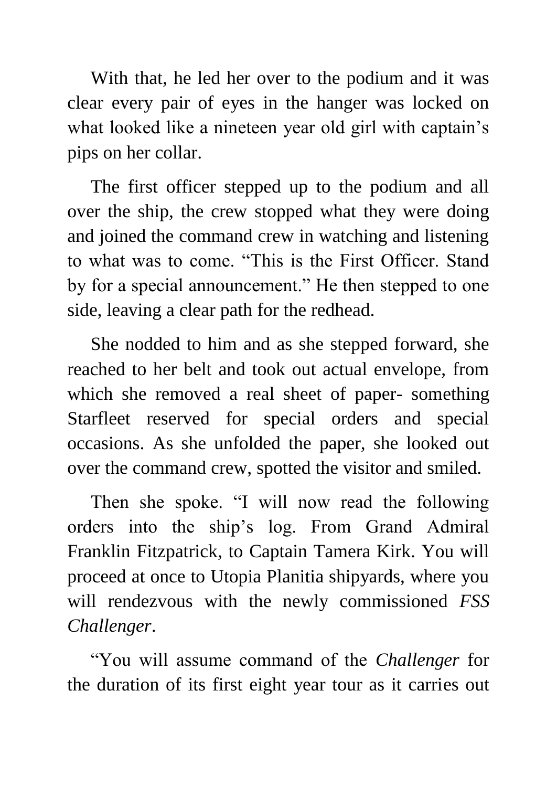With that, he led her over to the podium and it was clear every pair of eyes in the hanger was locked on what looked like a nineteen year old girl with captain's pips on her collar.

 The first officer stepped up to the podium and all over the ship, the crew stopped what they were doing and joined the command crew in watching and listening to what was to come. "This is the First Officer. Stand by for a special announcement." He then stepped to one side, leaving a clear path for the redhead.

 She nodded to him and as she stepped forward, she reached to her belt and took out actual envelope, from which she removed a real sheet of paper- something Starfleet reserved for special orders and special occasions. As she unfolded the paper, she looked out over the command crew, spotted the visitor and smiled.

 Then she spoke. "I will now read the following orders into the ship's log. From Grand Admiral Franklin Fitzpatrick, to Captain Tamera Kirk. You will proceed at once to Utopia Planitia shipyards, where you will rendezvous with the newly commissioned *FSS Challenger*.

 "You will assume command of the *Challenger* for the duration of its first eight year tour as it carries out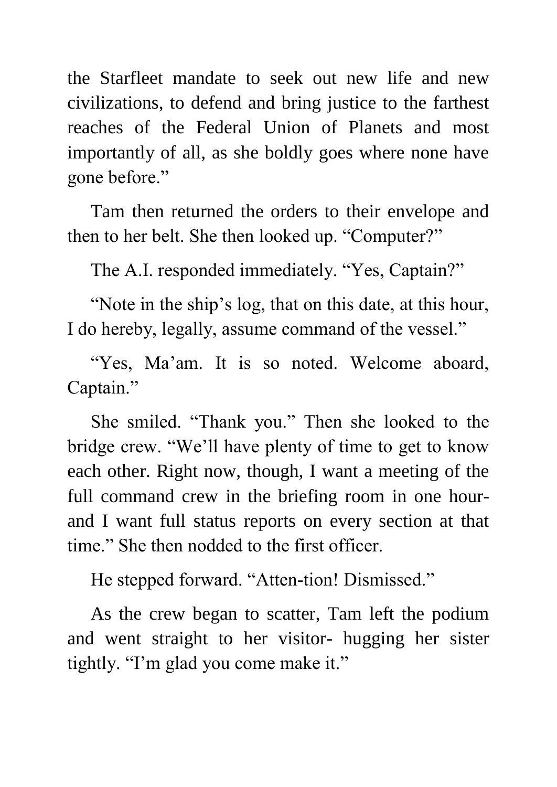the Starfleet mandate to seek out new life and new civilizations, to defend and bring justice to the farthest reaches of the Federal Union of Planets and most importantly of all, as she boldly goes where none have gone before."

 Tam then returned the orders to their envelope and then to her belt. She then looked up. "Computer?"

The A.I. responded immediately. "Yes, Captain?"

 "Note in the ship's log, that on this date, at this hour, I do hereby, legally, assume command of the vessel."

"Yes, Ma'am. It is so noted. Welcome aboard, Captain."

 She smiled. "Thank you." Then she looked to the bridge crew. "We'll have plenty of time to get to know each other. Right now, though, I want a meeting of the full command crew in the briefing room in one hourand I want full status reports on every section at that time." She then nodded to the first officer.

He stepped forward. "Atten-tion! Dismissed."

 As the crew began to scatter, Tam left the podium and went straight to her visitor- hugging her sister tightly. "I'm glad you come make it."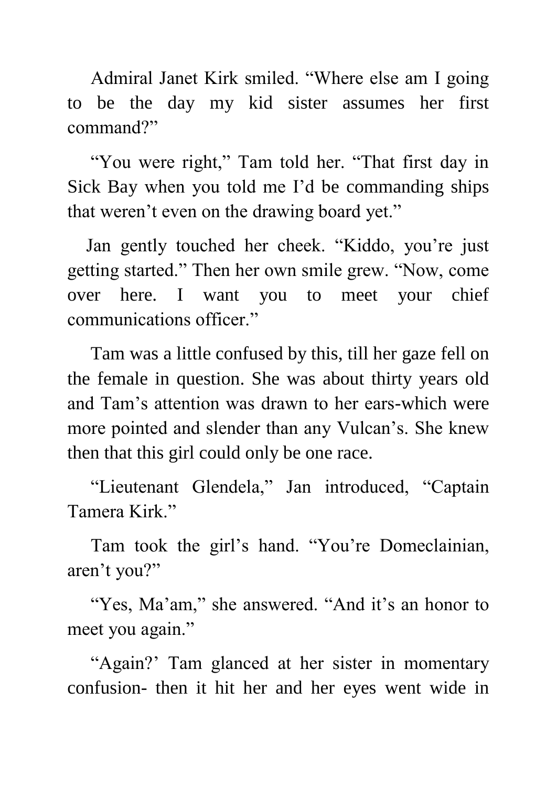Admiral Janet Kirk smiled. "Where else am I going to be the day my kid sister assumes her first command?"

 "You were right," Tam told her. "That first day in Sick Bay when you told me I'd be commanding ships that weren't even on the drawing board yet."

 Jan gently touched her cheek. "Kiddo, you're just getting started." Then her own smile grew. "Now, come over here. I want you to meet your chief communications officer."

 Tam was a little confused by this, till her gaze fell on the female in question. She was about thirty years old and Tam's attention was drawn to her ears-which were more pointed and slender than any Vulcan's. She knew then that this girl could only be one race.

 "Lieutenant Glendela," Jan introduced, "Captain Tamera Kirk."

 Tam took the girl's hand. "You're Domeclainian, aren't you?"

"Yes, Ma'am," she answered. "And it's an honor to meet you again."

 "Again?' Tam glanced at her sister in momentary confusion- then it hit her and her eyes went wide in